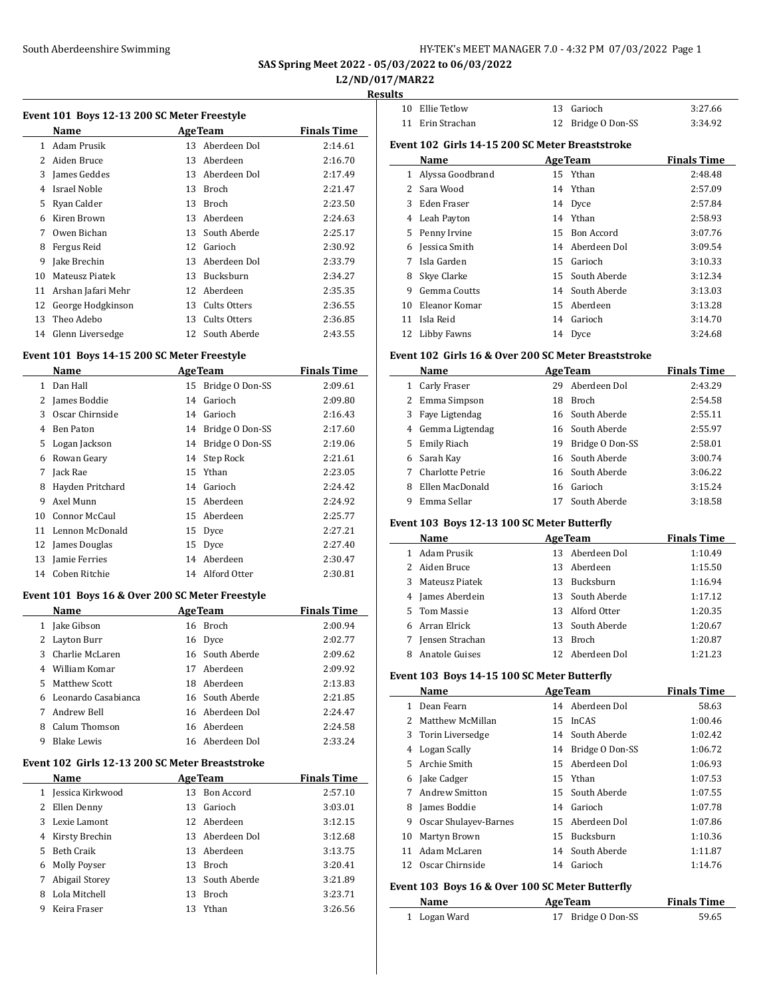#### South Aberdeenshire Swimming HY-TEK's MEET MANAGER 7.0 - 4:32 PM 07/03/2022 Page 1

**SAS Spring Meet 2022 - 05/03/2022 to 06/03/2022**

# **L2/ND/017/MAR22 Results**

# **Event 101 Boys 12-13 200 SC Meter Freestyle**

|               | Name                 |    | <b>AgeTeam</b>  | <b>Finals Time</b> |
|---------------|----------------------|----|-----------------|--------------------|
| 1             | Adam Prusik          | 13 | Aberdeen Dol    | 2:14.61            |
| $\mathcal{L}$ | Aiden Bruce          | 13 | Aberdeen        | 2:16.70            |
| 3             | James Geddes         | 13 | Aberdeen Dol    | 2:17.49            |
| 4             | Israel Noble         | 13 | Broch           | 2:21.47            |
| 5.            | Ryan Calder          | 13 | Broch           | 2:23.50            |
| 6             | Kiren Brown          | 13 | Aberdeen        | 2:24.63            |
| 7             | Owen Bichan          |    | 13 South Aberde | 2:25.17            |
| 8             | Fergus Reid          |    | 12 Garioch      | 2:30.92            |
| 9             | Jake Brechin         | 13 | Aberdeen Dol    | 2:33.79            |
| 10            | Mateusz Piatek       | 13 | Bucksburn       | 2:34.27            |
| 11            | Arshan Jafari Mehr   | 12 | Aberdeen        | 2:35.35            |
|               | 12 George Hodgkinson |    | 13 Cults Otters | 2:36.55            |
| 13            | Theo Adebo           | 13 | Cults Otters    | 2:36.85            |
|               | 14 Glenn Liversedge  |    | 12 South Aberde | 2:43.55            |

## **Event 101 Boys 14-15 200 SC Meter Freestyle**

|    | Name                 |    | <b>Age Team</b>    | <b>Finals Time</b> |
|----|----------------------|----|--------------------|--------------------|
| 1  | Dan Hall             |    | 15 Bridge 0 Don-SS | 2:09.61            |
| 2  | James Boddie         | 14 | Garioch            | 2:09.80            |
| 3  | Oscar Chirnside      |    | 14 Garioch         | 2:16.43            |
| 4  | <b>Ben Paton</b>     |    | 14 Bridge O Don-SS | 2:17.60            |
| 5. | Logan Jackson        |    | 14 Bridge O Don-SS | 2:19.06            |
| 6  | Rowan Geary          |    | 14 Step Rock       | 2:21.61            |
| 7  | Jack Rae             |    | 15 Ythan           | 2:23.05            |
| 8  | Hayden Pritchard     |    | 14 Garioch         | 2:24.42            |
| 9  | Axel Munn            |    | 15 Aberdeen        | 2:24.92            |
| 10 | <b>Connor McCaul</b> |    | 15 Aberdeen        | 2:25.77            |
| 11 | Lennon McDonald      |    | 15 Dyce            | 2:27.21            |
|    | 12 James Douglas     |    | 15 Dyce            | 2:27.40            |
| 13 | Jamie Ferries        |    | 14 Aberdeen        | 2:30.47            |
|    | 14 Coben Ritchie     |    | 14 Alford Otter    | 2:30.81            |

# **Event 101 Boys 16 & Over 200 SC Meter Freestyle**

|    | Name                  |    | <b>AgeTeam</b>  | <b>Finals Time</b> |
|----|-----------------------|----|-----------------|--------------------|
|    | Jake Gibson           | 16 | Broch           | 2:00.94            |
| 2  | Layton Burr           |    | 16 Dyce         | 2:02.77            |
| 3  | Charlie McLaren       |    | 16 South Aberde | 2:09.62            |
| 4  | William Komar         |    | 17 Aberdeen     | 2:09.92            |
| 5. | Matthew Scott         |    | 18 Aberdeen     | 2:13.83            |
|    | 6 Leonardo Casabianca |    | 16 South Aberde | 2:21.85            |
|    | Andrew Bell           |    | 16 Aberdeen Dol | 2:24.47            |
| 8  | Calum Thomson         |    | 16 Aberdeen     | 2:24.58            |
| 9  | Blake Lewis           |    | 16 Aberdeen Dol | 2:33.24            |

# **Event 102 Girls 12-13 200 SC Meter Breaststroke**

| Name              |     |              | <b>Finals Time</b>                                                                                        |
|-------------------|-----|--------------|-----------------------------------------------------------------------------------------------------------|
| Jessica Kirkwood  | 13. |              | 2:57.10                                                                                                   |
| Ellen Denny       | 13  | Garioch      | 3:03.01                                                                                                   |
| Lexie Lamont      |     |              | 3:12.15                                                                                                   |
| Kirsty Brechin    |     |              | 3:12.68                                                                                                   |
| <b>Beth Craik</b> |     |              | 3:13.75                                                                                                   |
| Molly Poyser      | 13  |              | 3:20.41                                                                                                   |
| Abigail Storey    |     |              | 3:21.89                                                                                                   |
| Lola Mitchell     | 13  | <b>Broch</b> | 3:23.71                                                                                                   |
| Keira Fraser      | 13  | Ythan        | 3:26.56                                                                                                   |
|                   |     |              | <b>AgeTeam</b><br>Bon Accord<br>12 Aberdeen<br>13 Aberdeen Dol<br>13 Aberdeen<br>Broch<br>13 South Aberde |

| 10 | Ellie Tetlow                                    | 13 | Garioch         | 3:27.66            |  |  |  |  |
|----|-------------------------------------------------|----|-----------------|--------------------|--|--|--|--|
| 11 | Erin Strachan                                   | 12 | Bridge 0 Don-SS | 3:34.92            |  |  |  |  |
|    | Event 102 Girls 14-15 200 SC Meter Breaststroke |    |                 |                    |  |  |  |  |
|    | Name                                            |    | <b>AgeTeam</b>  | <b>Finals Time</b> |  |  |  |  |
| 1  | Alyssa Goodbrand                                |    | 15 Ythan        | 2:48.48            |  |  |  |  |
| 2  | Sara Wood                                       |    | 14 Ythan        | 2:57.09            |  |  |  |  |
| 3  | Eden Fraser                                     |    | 14 Dyce         | 2:57.84            |  |  |  |  |
| 4  | Leah Payton                                     | 14 | Ythan           | 2:58.93            |  |  |  |  |
| 5  | Penny Irvine                                    |    | 15 Bon Accord   | 3:07.76            |  |  |  |  |
| 6  | Jessica Smith                                   |    | 14 Aberdeen Dol | 3:09.54            |  |  |  |  |
| 7  | Isla Garden                                     | 15 | Garioch         | 3:10.33            |  |  |  |  |
| 8  | Skye Clarke                                     | 15 | South Aberde    | 3:12.34            |  |  |  |  |
| 9  | <b>Gemma Coutts</b>                             |    | 14 South Aberde | 3:13.03            |  |  |  |  |
| 10 | Eleanor Komar                                   | 15 | Aberdeen        | 3:13.28            |  |  |  |  |
| 11 | Isla Reid                                       |    | 14 Garioch      | 3:14.70            |  |  |  |  |
| 12 | Libby Fawns                                     |    | 14 Dyce         | 3:24.68            |  |  |  |  |

#### **Event 102 Girls 16 & Over 200 SC Meter Breaststroke**

|   | Name                    |    | <b>AgeTeam</b>  | <b>Finals Time</b> |
|---|-------------------------|----|-----------------|--------------------|
|   | Carly Fraser            | 29 | Aberdeen Dol    | 2:43.29            |
|   | 2 Emma Simpson          | 18 | Broch           | 2:54.58            |
| 3 | Faye Ligtendag          |    | 16 South Aberde | 2:55.11            |
| 4 | Gemma Ligtendag         |    | 16 South Aberde | 2:55.97            |
| 5 | Emily Riach             | 19 | Bridge O Don-SS | 2:58.01            |
| 6 | Sarah Kay               |    | 16 South Aberde | 3:00.74            |
|   | <b>Charlotte Petrie</b> |    | 16 South Aberde | 3:06.22            |
| 8 | Ellen MacDonald         | 16 | Garioch         | 3:15.24            |
| 9 | Emma Sellar             | 17 | South Aberde    | 3:18.58            |

# **Event 103 Boys 12-13 100 SC Meter Butterfly**

| Name           |                 | <b>AgeTeam</b> |                 | <b>Finals Time</b> |
|----------------|-----------------|----------------|-----------------|--------------------|
|                | 1 Adam Prusik   |                | 13 Aberdeen Dol | 1:10.49            |
| 2 Aiden Bruce  |                 |                | 13 Aberdeen     | 1:15.50            |
| 3              | Mateusz Piatek  |                | 13 Bucksburn    | 1:16.94            |
| 4              | James Aberdein  |                | 13 South Aberde | 1:17.12            |
| 5 Tom Massie   |                 |                | 13 Alford Otter | 1:20.35            |
| 6 Arran Elrick |                 |                | 13 South Aberde | 1:20.67            |
|                | Jensen Strachan | 13             | Broch           | 1:20.87            |
| 8              | Anatole Guises  |                | 12 Aberdeen Dol | 1:21.23            |

## **Event 103 Boys 14-15 100 SC Meter Butterfly**

|    | Name                  |    | <b>AgeTeam</b>   | <b>Finals Time</b> |
|----|-----------------------|----|------------------|--------------------|
| 1  | Dean Fearn            |    | 14 Aberdeen Dol  | 58.63              |
|    | Matthew McMillan      |    | 15 InCAS         | 1:00.46            |
|    | 3 Torin Liversedge    |    | 14 South Aberde  | 1:02.42            |
| 4  | Logan Scally          | 14 | Bridge 0 Don-SS  | 1:06.72            |
|    | 5 Archie Smith        |    | 15 Aberdeen Dol  | 1:06.93            |
| 6  | Jake Cadger           |    | 15 Ythan         | 1:07.53            |
| 7  | Andrew Smitton        |    | 15 South Aberde  | 1:07.55            |
| 8  | James Boddie          |    | 14 Garioch       | 1:07.78            |
| 9  | Oscar Shulayev-Barnes |    | 15 Aberdeen Dol  | 1:07.86            |
| 10 | Martyn Brown          | 15 | <b>Bucksburn</b> | 1:10.36            |
| 11 | Adam McLaren          | 14 | South Aberde     | 1:11.87            |
|    | 12 Oscar Chirnside    | 14 | Garioch          | 1:14.76            |

## **Event 103 Boys 16 & Over 100 SC Meter Butterfly**

| Name         | <b>AgeTeam</b>     | <b>Finals Time</b> |
|--------------|--------------------|--------------------|
| 1 Logan Ward | 17 Bridge 0 Don-SS | 59.65              |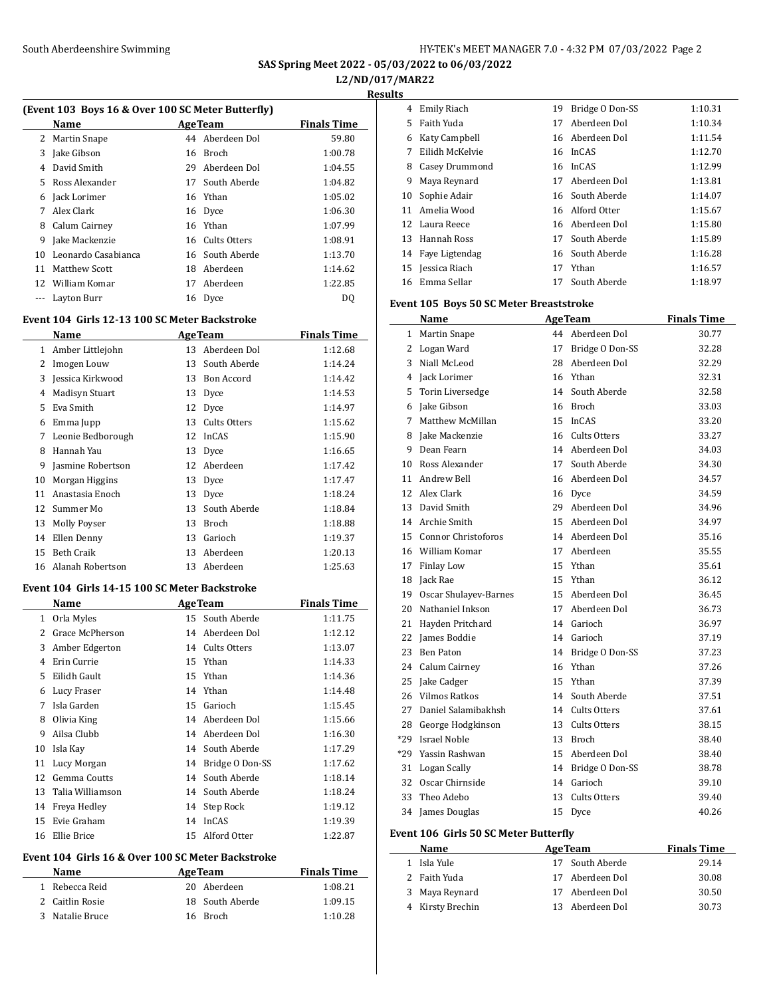**Results**

 $\overline{a}$ 

| (Event 103 Boys 16 & Over 100 SC Meter Butterfly) |                     |     |                 |                    |  |
|---------------------------------------------------|---------------------|-----|-----------------|--------------------|--|
|                                                   | Name                |     | <b>Age Team</b> | <b>Finals Time</b> |  |
| 2                                                 | Martin Snape        |     | 44 Aberdeen Dol | 59.80              |  |
| 3                                                 | Jake Gibson         | 16  | Broch           | 1:00.78            |  |
| 4                                                 | David Smith         | 29  | Aberdeen Dol    | 1:04.55            |  |
| 5.                                                | Ross Alexander      | 17  | South Aberde    | 1:04.82            |  |
| 6                                                 | Jack Lorimer        |     | 16 Ythan        | 1:05.02            |  |
| 7                                                 | Alex Clark          |     | 16 Dyce         | 1:06.30            |  |
| 8                                                 | Calum Cairney       |     | 16 Ythan        | 1:07.99            |  |
| 9                                                 | Jake Mackenzie      |     | 16 Cults Otters | 1:08.91            |  |
| 10                                                | Leonardo Casabianca |     | 16 South Aberde | 1:13.70            |  |
| 11                                                | Matthew Scott       | 18. | Aberdeen        | 1:14.62            |  |
| 12                                                | William Komar       | 17  | Aberdeen        | 1:22.85            |  |
|                                                   | Layton Burr         | 16  | Dyce            | DO                 |  |
|                                                   |                     |     |                 |                    |  |

# **Event 104 Girls 12-13 100 SC Meter Backstroke**

|              | Name                |    | <b>AgeTeam</b> | <b>Finals Time</b> |
|--------------|---------------------|----|----------------|--------------------|
| $\mathbf{1}$ | Amber Littlejohn    | 13 | Aberdeen Dol   | 1:12.68            |
| 2            | Imogen Louw         | 13 | South Aberde   | 1:14.24            |
| 3            | Jessica Kirkwood    | 13 | Bon Accord     | 1:14.42            |
| 4            | Madisyn Stuart      | 13 | Dyce           | 1:14.53            |
| 5            | Eva Smith           | 12 | Dyce           | 1:14.97            |
| 6            | Emma Jupp           | 13 | Cults Otters   | 1:15.62            |
| 7            | Leonie Bedborough   | 12 | <b>InCAS</b>   | 1:15.90            |
| 8            | Hannah Yau          | 13 | Dyce           | 1:16.65            |
| 9            | Jasmine Robertson   | 12 | Aberdeen       | 1:17.42            |
| 10           | Morgan Higgins      | 13 | Dyce           | 1:17.47            |
| 11           | Anastasia Enoch     | 13 | Dyce           | 1:18.24            |
| 12           | Summer Mo           | 13 | South Aberde   | 1:18.84            |
| 13           | Molly Poyser        | 13 | Broch          | 1:18.88            |
| 14           | Ellen Denny         | 13 | Garioch        | 1:19.37            |
| 15           | <b>Beth Craik</b>   | 13 | Aberdeen       | 1:20.13            |
|              | 16 Alanah Robertson | 13 | Aberdeen       | 1:25.63            |

# **Event 104 Girls 14-15 100 SC Meter Backstroke**

|              | Name             |    | <b>AgeTeam</b>     | <b>Finals Time</b> |
|--------------|------------------|----|--------------------|--------------------|
| $\mathbf{1}$ | Orla Myles       |    | 15 South Aberde    | 1:11.75            |
| 2            | Grace McPherson  |    | 14 Aberdeen Dol    | 1:12.12            |
| 3            | Amber Edgerton   |    | 14 Cults Otters    | 1:13.07            |
| 4            | Erin Currie      | 15 | Ythan              | 1:14.33            |
| 5            | Eilidh Gault     |    | 15 Ythan           | 1:14.36            |
| 6            | Lucy Fraser      |    | 14 Ythan           | 1:14.48            |
| 7            | Isla Garden      |    | 15 Garioch         | 1:15.45            |
| 8            | Olivia King      |    | 14 Aberdeen Dol    | 1:15.66            |
| 9            | Ailsa Clubb      | 14 | Aberdeen Dol       | 1:16.30            |
| 10           | Isla Kay         |    | 14 South Aberde    | 1:17.29            |
| 11           | Lucy Morgan      |    | 14 Bridge O Don-SS | 1:17.62            |
| 12           | Gemma Coutts     |    | 14 South Aberde    | 1:18.14            |
| 13           | Talia Williamson | 14 | South Aberde       | 1:18.24            |
| 14           | Freya Hedley     | 14 | Step Rock          | 1:19.12            |
| 15           | Evie Graham      | 14 | <b>InCAS</b>       | 1:19.39            |
| 16           | Ellie Brice      |    | 15 Alford Otter    | 1:22.87            |

# **Event 104 Girls 16 & Over 100 SC Meter Backstroke**

| Name            | <b>Age Team</b> | <b>Finals Time</b> |
|-----------------|-----------------|--------------------|
| 1 Rebecca Reid  | 20 Aberdeen     | 1:08.21            |
| 2 Caitlin Rosie | 18 South Aberde | 1:09.15            |
| 3 Natalie Bruce | 16 Broch        | 1:10.28            |

| 4   | Emily Riach     | 19 | Bridge 0 Don-SS | 1:10.31 |
|-----|-----------------|----|-----------------|---------|
| 5.  | Faith Yuda      | 17 | Aberdeen Dol    | 1:10.34 |
| 6   | Katy Campbell   |    | 16 Aberdeen Dol | 1:11.54 |
| 7   | Eilidh McKelvie |    | 16 InCAS        | 1:12.70 |
| 8   | Casey Drummond  |    | 16 InCAS        | 1:12.99 |
| 9   | Maya Reynard    | 17 | Aberdeen Dol    | 1:13.81 |
| 10  | Sophie Adair    |    | 16 South Aberde | 1:14.07 |
| 11  | Amelia Wood     |    | 16 Alford Otter | 1:15.67 |
| 12. | Laura Reece     |    | 16 Aberdeen Dol | 1:15.80 |
| 13  | Hannah Ross     | 17 | South Aberde    | 1:15.89 |
| 14  | Faye Ligtendag  | 16 | South Aberde    | 1:16.28 |
| 15  | Jessica Riach   | 17 | Ythan           | 1:16.57 |
| 16  | Emma Sellar     | 17 | South Aberde    | 1:18.97 |
|     |                 |    |                 |         |

# **Event 105 Boys 50 SC Meter Breaststroke**

|        | Name                     | <b>AgeTeam</b>  |                     | <b>Finals Time</b> |
|--------|--------------------------|-----------------|---------------------|--------------------|
| 1      | Martin Snape             | 44              | Aberdeen Dol        | 30.77              |
| 2      | Logan Ward               | 17              | Bridge O Don-SS     | 32.28              |
| 3      | Niall McLeod             | 28              | Aberdeen Dol        | 32.29              |
| 4      | Jack Lorimer             | 16              | Ythan               | 32.31              |
| 5      | Torin Liversedge         | 14              | South Aberde        | 32.58              |
| 6      | Jake Gibson              | 16              | <b>Broch</b>        | 33.03              |
| 7      | Matthew McMillan         | 15              | <b>InCAS</b>        | 33.20              |
| 8      | Jake Mackenzie           | 16              | <b>Cults Otters</b> | 33.27              |
| 9      | Dean Fearn               | 14              | Aberdeen Dol        | 34.03              |
| 10     | Ross Alexander           | 17              | South Aberde        | 34.30              |
| 11     | Andrew Bell              | 16              | Aberdeen Dol        | 34.57              |
| 12     | Alex Clark               | 16              | Dyce                | 34.59              |
| 13     | David Smith              | 29              | Aberdeen Dol        | 34.96              |
| 14     | Archie Smith             | 15              | Aberdeen Dol        | 34.97              |
| $15 -$ | Connor Christoforos      | 14              | Aberdeen Dol        | 35.16              |
| 16     | William Komar            | 17              | Aberdeen            | 35.55              |
| 17     | <b>Finlay Low</b>        | 15              | Ythan               | 35.61              |
| 18     | Jack Rae                 | 15              | Ythan               | 36.12              |
|        | 19 Oscar Shulayev-Barnes | 15 <sup>7</sup> | Aberdeen Dol        | 36.45              |
| 20     | Nathaniel Inkson         | 17              | Aberdeen Dol        | 36.73              |
| 21     | Hayden Pritchard         | 14              | Garioch             | 36.97              |
| 22     | James Boddie             | 14              | Garioch             | 37.19              |
| 23     | <b>Ben Paton</b>         | 14              | Bridge O Don-SS     | 37.23              |
| 24     | Calum Cairney            | 16              | Ythan               | 37.26              |
| 25     | Jake Cadger              | 15              | Ythan               | 37.39              |
| 26     | Vilmos Ratkos            | 14              | South Aberde        | 37.51              |
| 27     | Daniel Salamibakhsh      |                 | 14 Cults Otters     | 37.61              |
| 28     | George Hodgkinson        | 13              | <b>Cults Otters</b> | 38.15              |
| $*29$  | <b>Israel Noble</b>      | 13              | <b>Broch</b>        | 38.40              |
| $*29$  | Yassin Rashwan           | 15              | Aberdeen Dol        | 38.40              |
| 31     | Logan Scally             | 14              | Bridge O Don-SS     | 38.78              |
| 32     | Oscar Chirnside          | 14              | Garioch             | 39.10              |
| 33     | Theo Adebo               | 13              | Cults Otters        | 39.40              |
| 34     | James Douglas            | 15              | Dyce                | 40.26              |

## **Event 106 Girls 50 SC Meter Butterfly**

 $\overline{\phantom{0}}$ 

| Name           | <b>AgeTeam</b>  | <b>Finals Time</b> |
|----------------|-----------------|--------------------|
| Isla Yule      | 17 South Aberde | 29.14              |
| 2 Faith Yuda   | 17 Aberdeen Dol | 30.08              |
| 3 Maya Reynard | 17 Aberdeen Dol | 30.50              |
| Kirsty Brechin | 13 Aberdeen Dol | 30.73              |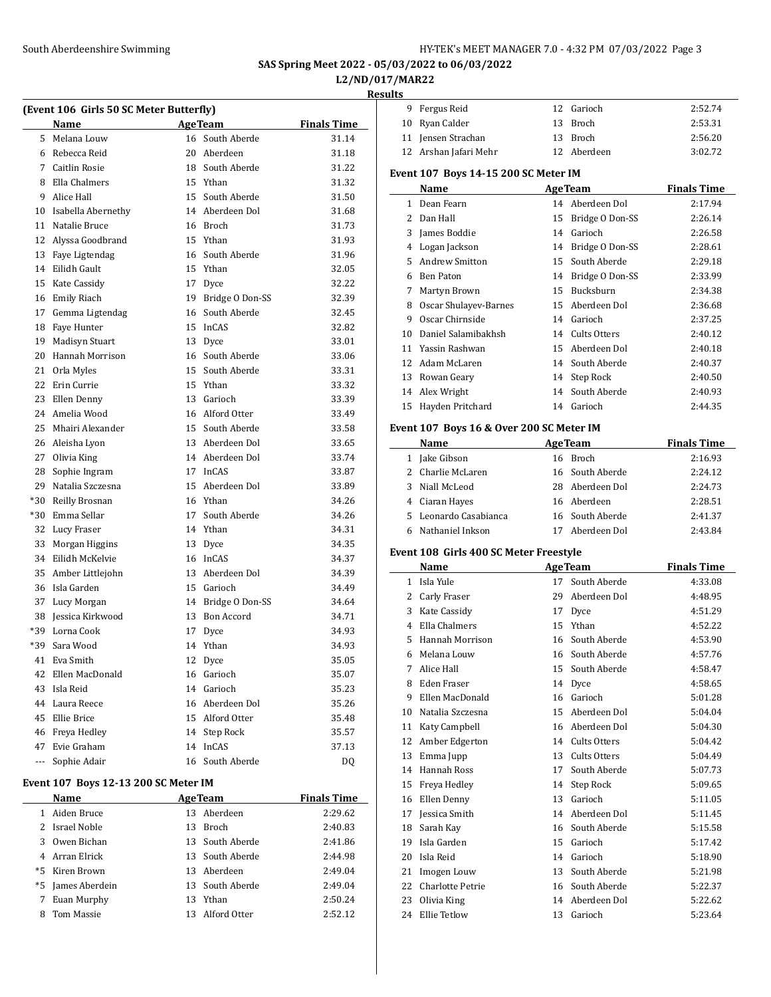# South Aberdeenshire Swimming Supervisory of the HY-TEK's MEET MANAGER 7.0 - 4:32 PM 07/03/2022 Page 3

**SAS Spring Meet 2022 - 05/03/2022 to 06/03/2022**

**L2/ND/017/MAR22**

| (Event 106 Girls 50 SC Meter Butterfly) |                      |    |                    |                    |  |  |
|-----------------------------------------|----------------------|----|--------------------|--------------------|--|--|
|                                         | Name                 |    | <b>AgeTeam</b>     | <b>Finals Time</b> |  |  |
| 5                                       | Melana Louw          | 16 | South Aberde       | 31.14              |  |  |
| 6                                       | Rebecca Reid         |    | 20 Aberdeen        | 31.18              |  |  |
| 7                                       | <b>Caitlin Rosie</b> | 18 | South Aberde       | 31.22              |  |  |
| 8                                       | Ella Chalmers        |    | 15 Ythan           | 31.32              |  |  |
| 9                                       | Alice Hall           |    | 15 South Aberde    | 31.50              |  |  |
| 10                                      | Isabella Abernethy   |    | 14 Aberdeen Dol    | 31.68              |  |  |
| 11                                      | Natalie Bruce        |    | 16 Broch           | 31.73              |  |  |
| 12                                      | Alyssa Goodbrand     |    | 15 Ythan           | 31.93              |  |  |
| 13                                      | Faye Ligtendag       |    | 16 South Aberde    | 31.96              |  |  |
| 14                                      | Eilidh Gault         |    | 15 Ythan           | 32.05              |  |  |
| 15                                      | Kate Cassidy         |    | 17 Dyce            | 32.22              |  |  |
| 16                                      | <b>Emily Riach</b>   | 19 | Bridge O Don-SS    | 32.39              |  |  |
| 17                                      | Gemma Ligtendag      | 16 | South Aberde       | 32.45              |  |  |
| 18                                      | Faye Hunter          | 15 | <b>InCAS</b>       | 32.82              |  |  |
| 19                                      | Madisyn Stuart       | 13 | Dyce               | 33.01              |  |  |
| 20                                      | Hannah Morrison      | 16 | South Aberde       | 33.06              |  |  |
| 21                                      | Orla Myles           |    | 15 South Aberde    | 33.31              |  |  |
| 22                                      | Erin Currie          |    | 15 Ythan           | 33.32              |  |  |
| 23                                      | Ellen Denny          |    | 13 Garioch         | 33.39              |  |  |
| 24                                      | Amelia Wood          |    | 16 Alford Otter    | 33.49              |  |  |
| 25                                      | Mhairi Alexander     |    | 15 South Aberde    | 33.58              |  |  |
| 26                                      | Aleisha Lyon         |    | 13 Aberdeen Dol    | 33.65              |  |  |
| 27                                      | Olivia King          |    | 14 Aberdeen Dol    | 33.74              |  |  |
| 28                                      | Sophie Ingram        |    | 17 InCAS           | 33.87              |  |  |
| 29                                      | Natalia Szczesna     |    | 15 Aberdeen Dol    | 33.89              |  |  |
| *30                                     | Reilly Brosnan       |    | 16 Ythan           | 34.26              |  |  |
| $*30$                                   | Emma Sellar          | 17 | South Aberde       | 34.26              |  |  |
| 32                                      | Lucy Fraser          |    | 14 Ythan           | 34.31              |  |  |
| 33                                      | Morgan Higgins       | 13 | Dyce               | 34.35              |  |  |
| 34                                      | Eilidh McKelvie      |    | 16 InCAS           | 34.37              |  |  |
| 35                                      | Amber Littlejohn     |    | 13 Aberdeen Dol    | 34.39              |  |  |
| 36                                      | Isla Garden          |    | 15 Garioch         | 34.49              |  |  |
| 37                                      | Lucy Morgan          |    | 14 Bridge O Don-SS | 34.64              |  |  |
| 38                                      | Jessica Kirkwood     |    | 13 Bon Accord      | 34.71              |  |  |
| *39                                     | Lorna Cook           | 17 | Dyce               | 34.93              |  |  |
| *39                                     | Sara Wood            | 14 | Ythan              | 34.93              |  |  |
| 41                                      | Eva Smith            | 12 | Dyce               | 35.05              |  |  |
| 42                                      | Ellen MacDonald      | 16 | Garioch            | 35.07              |  |  |
| 43                                      | Isla Reid            | 14 | Garioch            | 35.23              |  |  |
| 44                                      | Laura Reece          | 16 | Aberdeen Dol       | 35.26              |  |  |
| 45                                      | Ellie Brice          | 15 | Alford Otter       | 35.48              |  |  |
| 46                                      | Freya Hedley         | 14 | Step Rock          | 35.57              |  |  |
| 47                                      | Evie Graham          | 14 | <b>InCAS</b>       | 37.13              |  |  |
| ---                                     | Sophie Adair         | 16 | South Aberde       | DQ                 |  |  |

# **Event 107 Boys 12-13 200 SC Meter IM**

 $\overline{a}$ 

|      | Name              |    | <b>AgeTeam</b>  | <b>Finals Time</b> |
|------|-------------------|----|-----------------|--------------------|
|      | Aiden Bruce       |    | 13 Aberdeen     | 2:29.62            |
|      | 2 Israel Noble    | 13 | Broch           | 2:40.83            |
|      | 3 Owen Bichan     |    | 13 South Aberde | 2:41.86            |
|      | 4 Arran Elrick    |    | 13 South Aberde | 2:44.98            |
| $*5$ | Kiren Brown       |    | 13 Aberdeen     | 2:49.04            |
| *5   | James Aberdein    |    | 13 South Aberde | 2:49.04            |
| 7    | Euan Murphy       | 13 | Ythan           | 2:50.24            |
|      | <b>Tom Massie</b> |    | 13 Alford Otter | 2:52.12            |
|      |                   |    |                 |                    |

| 9 Fergus Reid         | 12 Garioch  | 2:52.74 |
|-----------------------|-------------|---------|
| 10 Ryan Calder        | 13 Broch    | 2:53.31 |
| 11 Jensen Strachan    | 13 Broch    | 2:56.20 |
| 12 Arshan Jafari Mehr | 12 Aberdeen | 3:02.72 |

# **Event 107 Boys 14-15 200 SC Meter IM**

|                 | Name                  | <b>AgeTeam</b> |                  | <b>Finals Time</b> |
|-----------------|-----------------------|----------------|------------------|--------------------|
| 1.              | Dean Fearn            | 14             | Aberdeen Dol     | 2:17.94            |
| 2               | Dan Hall              | 15             | Bridge 0 Don-SS  | 2:26.14            |
| 3               | James Boddie          | 14             | Garioch          | 2:26.58            |
| 4               | Logan Jackson         | 14             | Bridge O Don-SS  | 2:28.61            |
| 5.              | Andrew Smitton        | 15             | South Aberde     | 2:29.18            |
| 6               | <b>Ben Paton</b>      | 14             | Bridge 0 Don-SS  | 2:33.99            |
| 7               | Martyn Brown          | 15             | <b>Bucksburn</b> | 2:34.38            |
| 8               | Oscar Shulayev-Barnes |                | 15 Aberdeen Dol  | 2:36.68            |
| 9               | Oscar Chirnside       | 14             | Garioch          | 2:37.25            |
| 10              | Daniel Salamibakhsh   |                | 14 Cults Otters  | 2:40.12            |
| 11              | Yassin Rashwan        | 15             | Aberdeen Dol     | 2:40.18            |
| 12 <sup>1</sup> | Adam McLaren          |                | 14 South Aberde  | 2:40.37            |
| 13              | Rowan Geary           |                | 14 Step Rock     | 2:40.50            |
| 14              | Alex Wright           | 14             | South Aberde     | 2:40.93            |
| 15              | Hayden Pritchard      | 14             | Garioch          | 2:44.35            |

# **Event 107 Boys 16 & Over 200 SC Meter IM**

| <b>Name</b>           | <b>AgeTeam</b>  | <b>Finals Time</b> |
|-----------------------|-----------------|--------------------|
| 1 Jake Gibson         | 16 Broch        | 2:16.93            |
| 2 Charlie McLaren     | 16 South Aberde | 2:24.12            |
| 3 Niall McLeod        | 28 Aberdeen Dol | 2:24.73            |
| 4 Ciaran Hayes        | 16 Aberdeen     | 2:28.51            |
| 5 Leonardo Casabianca | 16 South Aberde | 2:41.37            |
| 6 Nathaniel Inkson    | Aberdeen Dol    | 2:43.84            |

# **Event 108 Girls 400 SC Meter Freestyle**

|    | Name<br><b>AgeTeam</b> |    |              | <b>Finals Time</b> |
|----|------------------------|----|--------------|--------------------|
| 1  | Isla Yule              | 17 | South Aberde | 4:33.08            |
| 2  | Carly Fraser           | 29 | Aberdeen Dol | 4:48.95            |
| 3  | Kate Cassidy           | 17 | Dyce         | 4:51.29            |
| 4  | Ella Chalmers          | 15 | Ythan        | 4:52.22            |
| 5  | Hannah Morrison        | 16 | South Aberde | 4:53.90            |
| 6  | Melana Louw            | 16 | South Aberde | 4:57.76            |
| 7  | Alice Hall             | 15 | South Aberde | 4:58.47            |
| 8  | Eden Fraser            | 14 | Dyce         | 4:58.65            |
| 9  | Ellen MacDonald        | 16 | Garioch      | 5:01.28            |
| 10 | Natalia Szczesna       | 15 | Aberdeen Dol | 5:04.04            |
| 11 | Katy Campbell          | 16 | Aberdeen Dol | 5:04.30            |
| 12 | Amber Edgerton         | 14 | Cults Otters | 5:04.42            |
| 13 | Emma Jupp              | 13 | Cults Otters | 5:04.49            |
| 14 | Hannah Ross            | 17 | South Aberde | 5:07.73            |
| 15 | Freya Hedley           | 14 | Step Rock    | 5:09.65            |
| 16 | Ellen Denny            | 13 | Garioch      | 5:11.05            |
| 17 | <b>Jessica Smith</b>   | 14 | Aberdeen Dol | 5:11.45            |
| 18 | Sarah Kay              | 16 | South Aberde | 5:15.58            |
| 19 | Isla Garden            | 15 | Garioch      | 5:17.42            |
| 20 | Isla Reid              | 14 | Garioch      | 5:18.90            |
| 21 | Imogen Louw            | 13 | South Aberde | 5:21.98            |
| 22 | Charlotte Petrie       | 16 | South Aberde | 5:22.37            |
| 23 | Olivia King            | 14 | Aberdeen Dol | 5:22.62            |
| 24 | Ellie Tetlow           | 13 | Garioch      | 5:23.64            |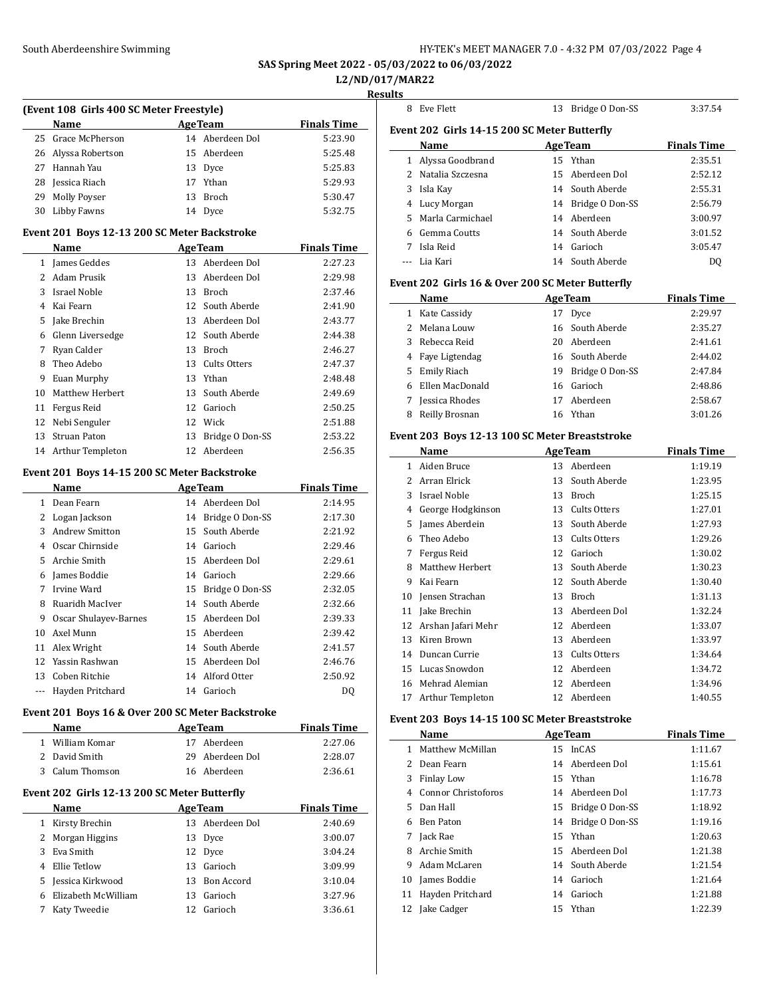## South Aberdeenshire Swimming HY-TEK's MEET MANAGER 7.0 - 4:32 PM 07/03/2022 Page 4

**SAS Spring Meet 2022 - 05/03/2022 to 06/03/2022**

# **L2/ND/017/MAR22**

**Results**

|    |                                              |    |                     | ĸ                  |  |  |  |
|----|----------------------------------------------|----|---------------------|--------------------|--|--|--|
|    | (Event 108 Girls 400 SC Meter Freestyle)     |    |                     |                    |  |  |  |
|    | Name                                         |    | <b>AgeTeam</b>      | <b>Finals Time</b> |  |  |  |
| 25 | Grace McPherson                              | 14 | Aberdeen Dol        | 5:23.90            |  |  |  |
| 26 | Alyssa Robertson                             | 15 | Aberdeen            | 5:25.48            |  |  |  |
| 27 | Hannah Yau                                   | 13 | Dyce                | 5:25.83            |  |  |  |
| 28 | Jessica Riach                                | 17 | Ythan               | 5:29.93            |  |  |  |
| 29 | Molly Poyser                                 | 13 | Broch               | 5:30.47            |  |  |  |
| 30 | Libby Fawns                                  | 14 | Dyce                | 5:32.75            |  |  |  |
|    | Event 201 Boys 12-13 200 SC Meter Backstroke |    |                     |                    |  |  |  |
|    | Name                                         |    | <b>Age Team</b>     | <b>Finals Time</b> |  |  |  |
| 1  | James Geddes                                 | 13 | Aberdeen Dol        | 2:27.23            |  |  |  |
| 2  | Adam Prusik                                  | 13 | Aberdeen Dol        | 2:29.98            |  |  |  |
| 3  | Israel Noble                                 | 13 | Broch               | 2:37.46            |  |  |  |
| 4  | Kai Fearn                                    | 12 | South Aberde        | 2:41.90            |  |  |  |
| 5  | Jake Brechin                                 | 13 | Aberdeen Dol        | 2:43.77            |  |  |  |
| 6  | Glenn Liversedge                             | 12 | South Aberde        | 2:44.38            |  |  |  |
| 7  | Ryan Calder                                  | 13 | Broch               | 2:46.27            |  |  |  |
| 8  | Theo Adebo                                   | 13 | <b>Cults Otters</b> | 2:47.37            |  |  |  |

# Theo Adebo 13 Cults Otters 2:47.37 Euan Murphy 13 Ythan 2:48.48 Matthew Herbert 13 South Aberde 2:49.69 Fergus Reid 12 Garioch 2:50.25 Nebi Senguler 12 Wick 2:51.88 13 Struan Paton 13 Bridge O Don-SS 2:53.22 Arthur Templeton 12 Aberdeen 2:56.35

# **Event 201 Boys 14-15 200 SC Meter Backstroke**

 $\overline{\phantom{a}}$ 

 $\overline{\phantom{0}}$ 

|    | Name                  |    | <b>AgeTeam</b>  | <b>Finals Time</b> |
|----|-----------------------|----|-----------------|--------------------|
| 1  | Dean Fearn            | 14 | Aberdeen Dol    | 2:14.95            |
| 2  | Logan Jackson         | 14 | Bridge O Don-SS | 2:17.30            |
| 3  | Andrew Smitton        | 15 | South Aberde    | 2:21.92            |
| 4  | Oscar Chirnside       | 14 | Garioch         | 2:29.46            |
| 5. | Archie Smith          |    | 15 Aberdeen Dol | 2:29.61            |
| 6  | James Boddie          | 14 | Garioch         | 2:29.66            |
| 7  | Irvine Ward           | 15 | Bridge O Don-SS | 2:32.05            |
| 8  | Ruaridh MacIver       | 14 | South Aberde    | 2:32.66            |
| 9  | Oscar Shulayev-Barnes | 15 | Aberdeen Dol    | 2:39.33            |
| 10 | Axel Munn             | 15 | Aberdeen        | 2:39.42            |
| 11 | Alex Wright           |    | 14 South Aberde | 2:41.57            |
| 12 | Yassin Rashwan        | 15 | Aberdeen Dol    | 2:46.76            |
| 13 | Coben Ritchie         |    | 14 Alford Otter | 2:50.92            |
|    | Hayden Pritchard      | 14 | Garioch         | DQ                 |

# **Event 201 Boys 16 & Over 200 SC Meter Backstroke**

| <b>Name</b>     | <b>AgeTeam</b>  | <b>Finals Time</b> |
|-----------------|-----------------|--------------------|
| 1 William Komar | 17 Aberdeen     | 2:27.06            |
| 2 David Smith   | 29 Aberdeen Dol | 2:28.07            |
| 3 Calum Thomson | 16 Aberdeen     | 2:36.61            |

## **Event 202 Girls 12-13 200 SC Meter Butterfly**

|    | Name                |    | <b>AgeTeam</b>  | <b>Finals Time</b> |
|----|---------------------|----|-----------------|--------------------|
|    | Kirsty Brechin      |    | 13 Aberdeen Dol | 2:40.69            |
|    | 2 Morgan Higgins    |    | 13 Dyce         | 3:00.07            |
| 3. | Eva Smith           |    | 12 Dyce         | 3:04.24            |
|    | Ellie Tetlow        |    | 13 Garioch      | 3:09.99            |
|    | 5 Jessica Kirkwood  |    | 13 Bon Accord   | 3:10.04            |
|    | Elizabeth McWilliam | 13 | Garioch         | 3:27.96            |
|    | Katy Tweedie        |    | 12 Garioch      | 3:36.61            |

| աւա                                          |                                                          |    |                           |                    |  |  |  |
|----------------------------------------------|----------------------------------------------------------|----|---------------------------|--------------------|--|--|--|
|                                              | 8 Eve Flett                                              |    | 13 Bridge O Don-SS        | 3:37.54            |  |  |  |
|                                              | Event 202 Girls 14-15 200 SC Meter Butterfly             |    |                           |                    |  |  |  |
| <b>AgeTeam</b><br><b>Finals Time</b><br>Name |                                                          |    |                           |                    |  |  |  |
|                                              | 1 Alyssa Goodbrand                                       |    | 15 Ythan                  | 2:35.51            |  |  |  |
|                                              | 2 Natalia Szczesna                                       |    | 15 Aberdeen Dol           | 2:52.12            |  |  |  |
|                                              | 3 Isla Kay                                               |    | 14 South Aberde           | 2:55.31            |  |  |  |
|                                              | 4 Lucy Morgan                                            |    | 14 Bridge O Don-SS        | 2:56.79            |  |  |  |
|                                              | 5 Marla Carmichael                                       |    | 14 Aberdeen               | 3:00.97            |  |  |  |
|                                              | 6 Gemma Coutts                                           |    | 14 South Aberde           | 3:01.52            |  |  |  |
| 7                                            | Isla Reid                                                |    | 14 Garioch                | 3:05.47            |  |  |  |
|                                              | Lia Kari                                                 |    | 14 South Aberde           | DQ                 |  |  |  |
|                                              |                                                          |    |                           |                    |  |  |  |
|                                              | Event 202 Girls 16 & Over 200 SC Meter Butterfly<br>Name |    |                           | <b>Finals Time</b> |  |  |  |
|                                              |                                                          |    | <b>AgeTeam</b><br>17 Dyce | 2:29.97            |  |  |  |
|                                              | 1 Kate Cassidy<br>2 Melana Louw                          |    | 16 South Aberde           | 2:35.27            |  |  |  |
|                                              |                                                          |    |                           |                    |  |  |  |
|                                              | 3 Rebecca Reid                                           |    | 20 Aberdeen               | 2:41.61            |  |  |  |
|                                              | 4 Faye Ligtendag                                         |    | 16 South Aberde           | 2:44.02            |  |  |  |
|                                              | 5 Emily Riach                                            |    | 19 Bridge O Don-SS        | 2:47.84            |  |  |  |
|                                              | 6 Ellen MacDonald                                        |    | 16 Garioch                | 2:48.86            |  |  |  |
| 7                                            | Jessica Rhodes                                           | 17 | Aberdeen                  | 2:58.67            |  |  |  |
| 8                                            | Reilly Brosnan                                           |    | 16 Ythan                  | 3:01.26            |  |  |  |
|                                              | Event 203 Boys 12-13 100 SC Meter Breaststroke           |    |                           |                    |  |  |  |
|                                              | Name                                                     |    | <b>AgeTeam</b>            | <b>Finals Time</b> |  |  |  |
|                                              | 1 Aiden Bruce                                            |    | 13 Aberdeen               | 1:19.19            |  |  |  |
|                                              | 2 Arran Elrick                                           |    | 13 South Aberde           | 1:23.95            |  |  |  |
|                                              | 3 Israel Noble                                           |    | 13 Broch                  | 1:25.15            |  |  |  |
|                                              | 4 George Hodgkinson                                      |    | 13 Cults Otters           | 1:27.01            |  |  |  |
|                                              | 5 James Aberdein                                         |    | 13 South Aberde           | 1:27.93            |  |  |  |
|                                              | 6 Theo Adebo                                             |    | 13 Cults Otters           | 1:29.26            |  |  |  |
|                                              | 7 Fergus Reid                                            |    | 12 Garioch                | 1:30.02            |  |  |  |
| 8                                            | Matthew Herbert                                          |    | 13 South Aberde           | 1:30.23            |  |  |  |
|                                              | 9 Kai Fearn                                              |    | 12 South Aberde           | 1:30.40            |  |  |  |
|                                              | 10 Jensen Strachan                                       |    | 13 Broch                  | 1:31.13            |  |  |  |
|                                              | 11 Jake Brechin                                          |    | 13 Aberdeen Dol           | 1:32.24            |  |  |  |
|                                              | 12 Arshan Jafari Mehr                                    |    | 12 Aberdeen               | 1:33.07            |  |  |  |
| 13                                           | Kiren Brown                                              | 13 | Aberdeen                  | 1:33.97            |  |  |  |
| 14                                           | Duncan Currie                                            | 13 | Cults Otters              | 1:34.64            |  |  |  |
|                                              | 15 Lucas Snowdon                                         |    | 12 Aberdeen               | 1:34.72            |  |  |  |
|                                              | 16 Mehrad Alemian                                        |    | 12 Aberdeen               | 1:34.96            |  |  |  |
|                                              | 17 Arthur Templeton                                      |    | 12 Aberdeen               | 1:40.55            |  |  |  |
|                                              | Event 203 Boys 14-15 100 SC Meter Breaststroke           |    |                           |                    |  |  |  |
|                                              | Name                                                     |    | <b>AgeTeam</b>            | <b>Finals Time</b> |  |  |  |
| $\mathbf{1}$                                 | Matthew McMillan                                         |    | 15 InCAS                  | 1:11.67            |  |  |  |
|                                              | 2 Dean Fearn                                             | 14 | Aberdeen Dol              | 1:15.61            |  |  |  |
|                                              | 3 Finlay Low                                             | 15 | Ythan                     | 1:16.78            |  |  |  |
|                                              | 4 Connor Christoforos                                    |    | 14 Aberdeen Dol           | 1:17.73            |  |  |  |
|                                              | 5 Dan Hall                                               |    | 15 Bridge O Don-SS        | 1:18.92            |  |  |  |
|                                              | 6 Ben Paton                                              | 14 | Bridge O Don-SS           | 1:19.16            |  |  |  |
|                                              |                                                          |    |                           |                    |  |  |  |
|                                              | 7 Jack Rae                                               | 15 | Ythan                     | 1:20.63            |  |  |  |
|                                              | 8 Archie Smith                                           | 15 | Aberdeen Dol              | 1:21.38            |  |  |  |
|                                              | 9 Adam McLaren                                           |    | 14 South Aberde           | 1:21.54            |  |  |  |

#### J.

| 8 Archie Smith | 15 Aberdeen Dol |
|----------------|-----------------|
| 9 Adam McLaren | 14 South Aberde |

| 10 James Boddie     | 14 Garioch | 1:21.64 |
|---------------------|------------|---------|
| 11 Hayden Pritchard | 14 Garioch | 1:21.88 |
| 12 Jake Cadger      | 15 Ythan   | 1:22.39 |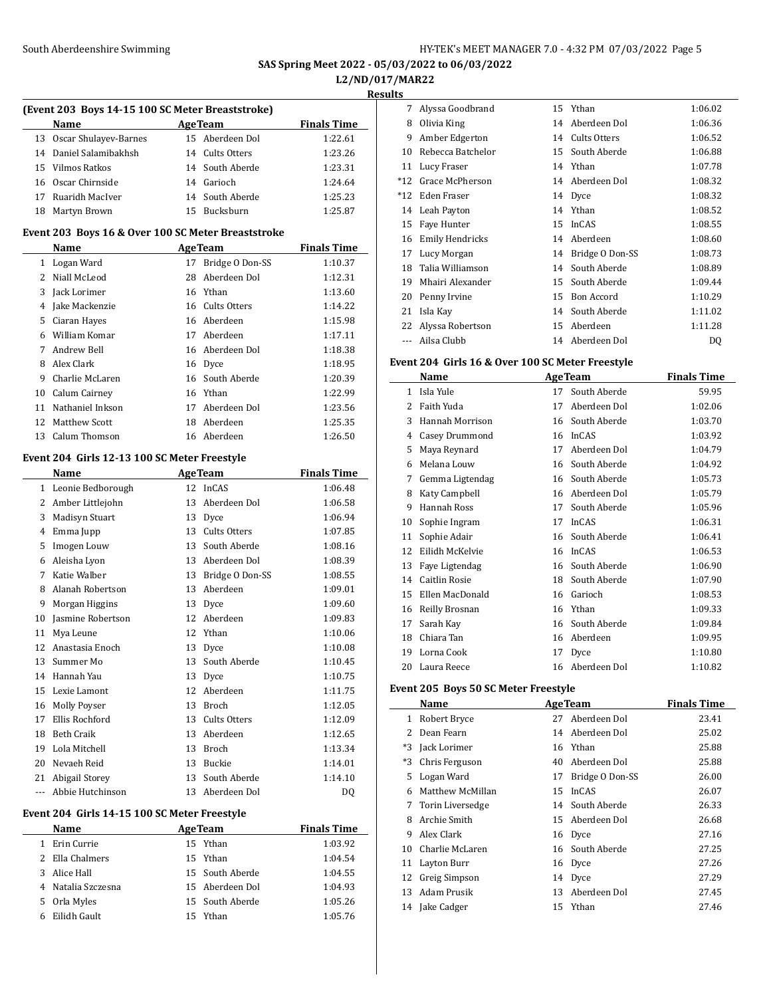**Results**

|    |                                                          |                |                    |                    | <b>Resul</b> |
|----|----------------------------------------------------------|----------------|--------------------|--------------------|--------------|
|    | (Event 203 Boys 14-15 100 SC Meter Breaststroke)<br>Name |                | <b>AgeTeam</b>     | <b>Finals Time</b> |              |
|    | 13 Oscar Shulayev-Barnes                                 |                | 15 Aberdeen Dol    | 1:22.61            |              |
|    | 14 Daniel Salamibakhsh                                   |                | 14 Cults Otters    | 1:23.26            |              |
|    | 15 Vilmos Ratkos                                         |                | 14 South Aberde    | 1:23.31            |              |
|    | 16 Oscar Chirnside                                       |                | 14 Garioch         | 1:24.64            |              |
|    | 17 Ruaridh MacIver                                       |                | 14 South Aberde    | 1:25.23            |              |
| 18 | Martyn Brown                                             |                | 15 Bucksburn       | 1:25.87            |              |
|    |                                                          |                |                    |                    |              |
|    | Event 203 Boys 16 & Over 100 SC Meter Breaststroke       |                |                    |                    |              |
|    | Name                                                     | <b>AgeTeam</b> |                    | <b>Finals Time</b> |              |
|    | 1 Logan Ward                                             |                | 17 Bridge O Don-SS | 1:10.37            |              |
|    | 2 Niall McLeod                                           |                | 28 Aberdeen Dol    | 1:12.31            |              |
| 3  | Jack Lorimer                                             |                | 16 Ythan           | 1:13.60            |              |
|    | 4 Jake Mackenzie                                         |                | 16 Cults Otters    | 1:14.22            |              |
|    | 5 Ciaran Hayes                                           |                | 16 Aberdeen        | 1:15.98            |              |
|    | 6 William Komar                                          |                | 17 Aberdeen        | 1:17.11            |              |
| 7  | Andrew Bell                                              |                | 16 Aberdeen Dol    | 1:18.38            |              |
| 8  | Alex Clark                                               |                | 16 Dyce            | 1:18.95            | E            |
|    | 9 Charlie McLaren                                        |                | 16 South Aberde    | 1:20.39            |              |
|    | 10 Calum Cairney                                         |                | 16 Ythan           | 1:22.99            |              |
|    | 11 Nathaniel Inkson                                      |                | 17 Aberdeen Dol    | 1:23.56            |              |
|    | 12 Matthew Scott                                         |                | 18 Aberdeen        | 1:25.35            |              |
|    | 13 Calum Thomson                                         |                | 16 Aberdeen        | 1:26.50            |              |
|    | Event 204 Girls 12-13 100 SC Meter Freestyle             |                |                    |                    |              |
|    | Name                                                     |                | Age Team           | <b>Finals Time</b> |              |
|    | 1 Leonie Bedborough                                      |                | 12 InCAS           | 1:06.48            |              |
|    | 2 Amber Littlejohn                                       |                | 13 Aberdeen Dol    | 1:06.58            |              |
|    | 3 Madisyn Stuart                                         |                | 13 Dyce            | 1:06.94            |              |
|    | 4 Emma Jupp                                              |                | 13 Cults Otters    | 1:07.85            |              |
|    | 5 Imogen Louw                                            |                | 13 South Aberde    | 1:08.16            |              |
|    | 6 Aleisha Lyon                                           |                | 13 Aberdeen Dol    | 1:08.39            |              |
|    | 7 Katie Walber                                           |                | 13 Bridge O Don-SS | 1:08.55            |              |
| 8  | Alanah Robertson                                         |                | 13 Aberdeen        | 1:09.01            |              |
| 9  | Morgan Higgins                                           |                | 13 Dyce            | 1:09.60            |              |
| 10 | Jasmine Robertson                                        |                | 12 Aberdeen        | 1:09.83            |              |
| 11 | Mya Leune                                                |                | 12 Ythan           | 1:10.06            |              |
|    | 12 Anastasia Enoch                                       |                | 13 Dyce            | 1:10.08            |              |
| 13 | Summer Mo                                                | 13             | South Aberde       | 1:10.45            |              |
| 14 | Hannah Yau                                               |                | 13 Dyce            | 1:10.75            |              |
| 15 | Lexie Lamont                                             |                | 12 Aberdeen        | 1:11.75            | E            |
|    | 16 Molly Poyser                                          |                | 13 Broch           | 1:12.05            |              |
| 17 | Ellis Rochford                                           |                | 13 Cults Otters    | 1:12.09            |              |
|    | 18 Beth Craik                                            |                | 13 Aberdeen        | 1:12.65            |              |
|    | 19 Lola Mitchell                                         |                | 13 Broch           | 1:13.34            |              |
| 20 | Nevaeh Reid                                              |                | 13 Buckie          | 1:14.01            |              |
|    |                                                          |                | 13 South Aberde    | 1:14.10            |              |
|    | 21 Abigail Storey<br>--- Abbie Hutchinson                |                | 13 Aberdeen Dol    |                    |              |
|    |                                                          |                |                    | DQ                 |              |
|    | Event 204 Girls 14-15 100 SC Meter Freestyle             |                |                    |                    |              |
|    | Name                                                     |                | <b>AgeTeam</b>     | <b>Finals Time</b> |              |
|    | 1 Erin Currie                                            |                | 15 Ythan           | 1:03.92            |              |
|    | 2 Ella Chalmers                                          |                | 15 Ythan           | 1:04.54            |              |

3 Alice Hall 15 South Aberde 1:04.55 Natalia Szczesna 15 Aberdeen Dol 1:04.93 Orla Myles 15 South Aberde 1:05.26 Eilidh Gault 15 Ythan 1:05.76

| ts    |                   |    |                   |         |
|-------|-------------------|----|-------------------|---------|
| 7     | Alyssa Goodbrand  |    | 15 Ythan          | 1:06.02 |
| 8     | Olivia King       |    | 14 Aberdeen Dol   | 1:06.36 |
| 9     | Amber Edgerton    | 14 | Cults Otters      | 1:06.52 |
| 10    | Rebecca Batchelor | 15 | South Aberde      | 1:06.88 |
| 11    | Lucy Fraser       |    | 14 Ythan          | 1:07.78 |
| $*12$ | Grace McPherson   |    | 14 Aberdeen Dol   | 1:08.32 |
| $*12$ | Eden Fraser       |    | 14 Dyce           | 1:08.32 |
| 14    | Leah Payton       | 14 | Ythan             | 1:08.52 |
| 15    | Faye Hunter       | 15 | <b>InCAS</b>      | 1:08.55 |
| 16    | Emily Hendricks   | 14 | Aberdeen          | 1:08.60 |
| 17    | Lucy Morgan       | 14 | Bridge O Don-SS   | 1:08.73 |
| 18    | Talia Williamson  | 14 | South Aberde      | 1:08.89 |
| 19    | Mhairi Alexander  | 15 | South Aberde      | 1:09.44 |
| 20    | Penny Irvine      | 15 | <b>Bon Accord</b> | 1:10.29 |
| 21    | Isla Kay          | 14 | South Aberde      | 1:11.02 |
| 22    | Alyssa Robertson  | 15 | Aberdeen          | 1:11.28 |

--- Ailsa Clubb 14 Aberdeen Dol DQ

### **Event 204 Girls 16 & Over 100 SC Meter Freestyle**

|              | Name               |    | <b>AgeTeam</b> | <b>Finals Time</b> |
|--------------|--------------------|----|----------------|--------------------|
| $\mathbf{1}$ | Isla Yule          | 17 | South Aberde   | 59.95              |
| 2            | Faith Yuda         | 17 | Aberdeen Dol   | 1:02.06            |
| 3            | Hannah Morrison    | 16 | South Aberde   | 1:03.70            |
| 4            | Casey Drummond     | 16 | <b>InCAS</b>   | 1:03.92            |
| 5            | Maya Reynard       | 17 | Aberdeen Dol   | 1:04.79            |
| 6            | Melana Louw        | 16 | South Aberde   | 1:04.92            |
| 7            | Gemma Ligtendag    | 16 | South Aberde   | 1:05.73            |
| 8            | Katy Campbell      | 16 | Aberdeen Dol   | 1:05.79            |
| 9            | <b>Hannah Ross</b> | 17 | South Aberde   | 1:05.96            |
| 10           | Sophie Ingram      | 17 | <b>InCAS</b>   | 1:06.31            |
| 11           | Sophie Adair       | 16 | South Aberde   | 1:06.41            |
| 12           | Eilidh McKelvie    | 16 | <b>InCAS</b>   | 1:06.53            |
| 13           | Faye Ligtendag     | 16 | South Aberde   | 1:06.90            |
| 14           | Caitlin Rosie      | 18 | South Aberde   | 1:07.90            |
| 15           | Ellen MacDonald    | 16 | Garioch        | 1:08.53            |
| 16           | Reilly Brosnan     | 16 | Ythan          | 1:09.33            |
| 17           | Sarah Kay          | 16 | South Aberde   | 1:09.84            |
| 18           | Chiara Tan         | 16 | Aberdeen       | 1:09.95            |
| 19           | Lorna Cook         | 17 | Dyce           | 1:10.80            |
| 20           | Laura Reece        | 16 | Aberdeen Dol   | 1:10.82            |

# **Event 205 Boys 50 SC Meter Freestyle**

|      | Name             |    | <b>AgeTeam</b>  | <b>Finals Time</b> |
|------|------------------|----|-----------------|--------------------|
| 1    | Robert Bryce     | 27 | Aberdeen Dol    | 23.41              |
| 2    | Dean Fearn       | 14 | Aberdeen Dol    | 25.02              |
| $*3$ | Jack Lorimer     |    | 16 Ythan        | 25.88              |
| *3   | Chris Ferguson   | 40 | Aberdeen Dol    | 25.88              |
| 5.   | Logan Ward       | 17 | Bridge O Don-SS | 26.00              |
| 6    | Matthew McMillan | 15 | <b>InCAS</b>    | 26.07              |
| 7    | Torin Liversedge |    | 14 South Aberde | 26.33              |
| 8    | Archie Smith     |    | 15 Aberdeen Dol | 26.68              |
| 9    | Alex Clark       |    | 16 Dyce         | 27.16              |
| 10   | Charlie McLaren  |    | 16 South Aberde | 27.25              |
| 11   | Layton Burr      |    | 16 Dyce         | 27.26              |
| 12   | Greig Simpson    |    | 14 Dyce         | 27.29              |
| 13   | Adam Prusik      | 13 | Aberdeen Dol    | 27.45              |
|      | 14 Jake Cadger   |    | 15 Ythan        | 27.46              |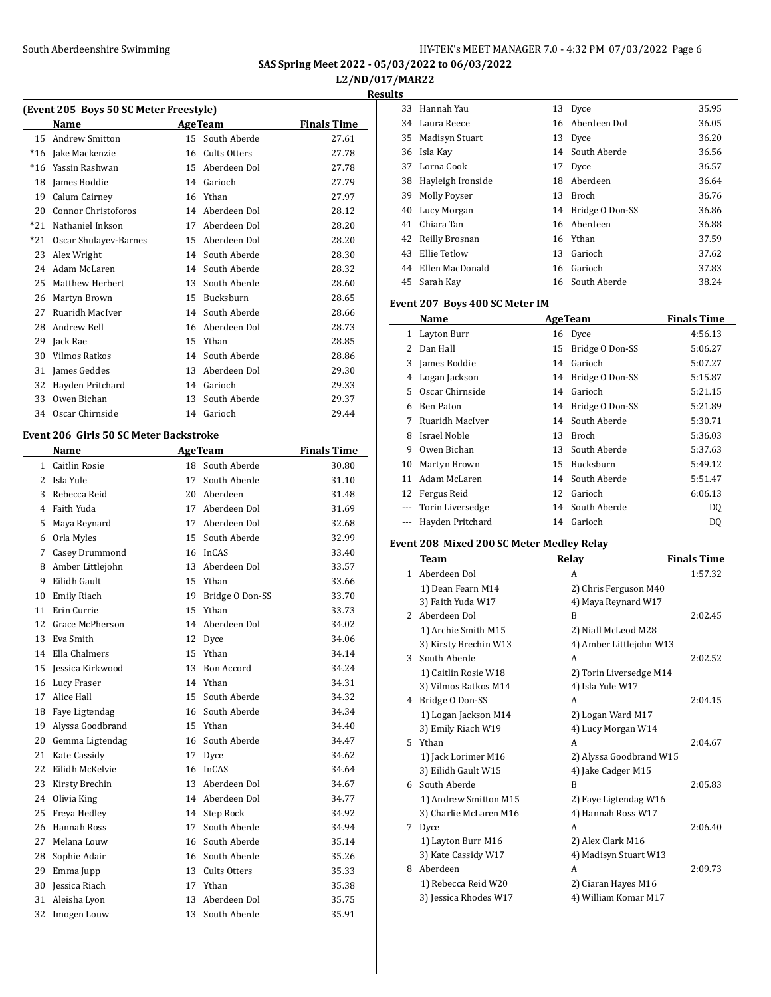**Results**

| (Event 205 Boys 50 SC Meter Freestyle) |                                         |                 |                                 |                    |  |
|----------------------------------------|-----------------------------------------|-----------------|---------------------------------|--------------------|--|
|                                        | Name                                    |                 | <b>Age Team</b>                 | <b>Finals Time</b> |  |
| 15                                     | <b>Andrew Smitton</b>                   | 15 <sup>7</sup> | South Aberde                    | 27.61              |  |
| $*16$                                  | Jake Mackenzie                          |                 | 16 Cults Otters                 | 27.78              |  |
| $*16$                                  | Yassin Rashwan                          |                 | 15 Aberdeen Dol                 | 27.78              |  |
| 18                                     | James Boddie                            |                 | 14 Garioch                      | 27.79              |  |
| 19                                     | Calum Cairney                           |                 | 16 Ythan                        | 27.97              |  |
| 20                                     | <b>Connor Christoforos</b>              |                 | 14 Aberdeen Dol                 | 28.12              |  |
| $*21$                                  | Nathaniel Inkson                        |                 | 17 Aberdeen Dol                 | 28.20              |  |
| $*21$                                  | Oscar Shulayev-Barnes                   |                 | 15 Aberdeen Dol                 | 28.20              |  |
| 23                                     | Alex Wright                             |                 | 14 South Aberde                 | 28.30              |  |
| 24                                     | Adam McLaren                            |                 | 14 South Aberde                 | 28.32              |  |
| 25                                     | Matthew Herbert                         |                 | 13 South Aberde                 | 28.60              |  |
| 26                                     | Martyn Brown                            |                 | 15 Bucksburn                    | 28.65              |  |
| 27                                     | Ruaridh MacIver                         |                 | 14 South Aberde                 | 28.66              |  |
| 28                                     | Andrew Bell                             |                 | 16 Aberdeen Dol                 | 28.73              |  |
| 29                                     | Jack Rae                                |                 | 15 Ythan                        | 28.85              |  |
| 30                                     | Vilmos Ratkos                           |                 | 14 South Aberde                 | 28.86              |  |
| 31                                     | <b>James Geddes</b>                     |                 | 13 Aberdeen Dol                 | 29.30              |  |
| 32                                     | Hayden Pritchard                        |                 | 14 Garioch                      | 29.33              |  |
| 33                                     | Owen Bichan                             |                 | 13 South Aberde                 | 29.37              |  |
| 34                                     | Oscar Chirnside                         |                 | 14 Garioch                      | 29.44              |  |
|                                        |                                         |                 |                                 |                    |  |
|                                        | Event 206  Girls 50 SC Meter Backstroke |                 |                                 |                    |  |
|                                        | <b>Name</b>                             |                 | <b>Age Team</b>                 | <b>Finals Time</b> |  |
| $\mathbf{1}$                           | Caitlin Rosie                           |                 | 18 South Aberde                 | 30.80              |  |
| 2                                      | Isla Yule                               | 17              | South Aberde                    | 31.10              |  |
| 3                                      | Rebecca Reid                            |                 | 20 Aberdeen                     | 31.48              |  |
| 4                                      | Faith Yuda                              |                 | 17 Aberdeen Dol                 | 31.69              |  |
| 5                                      | Maya Reynard                            |                 | 17 Aberdeen Dol                 | 32.68              |  |
| 6                                      | Orla Myles                              |                 | 15 South Aberde                 | 32.99              |  |
| 7                                      | Casey Drummond                          |                 | 16 InCAS                        | 33.40              |  |
| 8                                      | Amber Littlejohn                        |                 | 13 Aberdeen Dol                 | 33.57              |  |
| 9                                      | Eilidh Gault                            |                 | 15 Ythan                        | 33.66              |  |
| 10                                     | <b>Emily Riach</b><br>Erin Currie       |                 | 19 Bridge O Don-SS              | 33.70              |  |
| 11                                     |                                         |                 | 15 Ythan                        | 33.73              |  |
| 12<br>13                               | Grace McPherson<br>Eva Smith            | 12              | 14 Aberdeen Dol                 | 34.02<br>34.06     |  |
|                                        |                                         | 15              | Dyce<br>Ythan                   |                    |  |
| 14                                     | Ella Chalmers                           |                 |                                 | 34.14              |  |
| 15                                     | Jessica Kirkwood                        | 13<br>14        | Bon Accord                      | 34.24              |  |
| 16                                     | Lucy Fraser                             |                 | Ythan                           | 34.31              |  |
| 17                                     | Alice Hall                              | 15              | South Aberde                    | 34.32              |  |
| 18<br>19                               | Faye Ligtendag                          | 16              | South Aberde<br>15 Ythan        | 34.34              |  |
| 20                                     | Alyssa Goodbrand                        | 16              | South Aberde                    | 34.40              |  |
|                                        | Gemma Ligtendag<br>Kate Cassidy         |                 |                                 | 34.47              |  |
| 21<br>22                               | Eilidh McKelvie                         | 17<br>16        | Dyce<br>InCAS                   | 34.62<br>34.64     |  |
|                                        | Kirsty Brechin                          | 13              |                                 |                    |  |
| 23<br>24                               |                                         |                 | Aberdeen Dol<br>14 Aberdeen Dol | 34.67              |  |
| 25                                     | Olivia King<br>Freya Hedley             |                 | 14 Step Rock                    | 34.77              |  |
| 26                                     | Hannah Ross                             | 17              | South Aberde                    | 34.92              |  |
|                                        |                                         |                 |                                 | 34.94              |  |
| 27                                     | Melana Louw                             | 16<br>16        | South Aberde<br>South Aberde    | 35.14              |  |
| 28                                     | Sophie Adair                            |                 |                                 | 35.26              |  |
| 29                                     | Emma Jupp                               | 13              | Cults Otters                    | 35.33              |  |
| 30                                     | Jessica Riach                           | 17              | Ythan                           | 35.38              |  |
| 31                                     | Aleisha Lyon<br>Imogen Louw             | 13<br>13        | Aberdeen Dol<br>South Aberde    | 35.75              |  |
| 32                                     |                                         |                 |                                 | 35.91              |  |

| ւՏ |                   |    |                 |       |
|----|-------------------|----|-----------------|-------|
| 33 | Hannah Yau        | 13 | Dyce            | 35.95 |
| 34 | Laura Reece       |    | 16 Aberdeen Dol | 36.05 |
|    | 35 Madisyn Stuart | 13 | Dyce            | 36.20 |
| 36 | Isla Kay          | 14 | - South Aberde  | 36.56 |
|    | 37 Lorna Cook     | 17 | Dyce            | 36.57 |
| 38 | Hayleigh Ironside | 18 | Aberdeen        | 36.64 |
| 39 | Molly Poyser      | 13 | Broch           | 36.76 |
| 40 | Lucy Morgan       | 14 | Bridge O Don-SS | 36.86 |
| 41 | Chiara Tan        |    | 16 Aberdeen     | 36.88 |
| 42 | Reilly Brosnan    |    | 16 Ythan        | 37.59 |
| 43 | Ellie Tetlow      | 13 | Garioch         | 37.62 |
| 44 | Ellen MacDonald   | 16 | Garioch         | 37.83 |
| 45 | Sarah Kay         |    | 16 South Aberde | 38.24 |
|    |                   |    |                 |       |

# **Event 207 Boys 400 SC Meter IM**

|    | Name             | <b>AgeTeam</b> | <b>Finals Time</b> |                |
|----|------------------|----------------|--------------------|----------------|
| 1  | Layton Burr      |                | 16 Dyce            | 4:56.13        |
| 2  | Dan Hall         | 15             | Bridge O Don-SS    | 5:06.27        |
| 3  | James Boddie     | 14             | Garioch            | 5:07.27        |
| 4  | Logan Jackson    |                | 14 Bridge 0 Don-SS | 5:15.87        |
| 5  | Oscar Chirnside  | 14             | Garioch            | 5:21.15        |
| 6  | <b>Ben Paton</b> |                | 14 Bridge 0 Don-SS | 5:21.89        |
| 7  | Ruaridh MacIver  | 14             | South Aberde       | 5:30.71        |
| 8  | Israel Noble     | 13             | Broch              | 5:36.03        |
| 9  | Owen Bichan      | 13             | South Aberde       | 5:37.63        |
| 10 | Martyn Brown     | 15             | <b>Bucksburn</b>   | 5:49.12        |
| 11 | Adam McLaren     | 14             | South Aberde       | 5:51.47        |
| 12 | Fergus Reid      | 12             | Garioch            | 6:06.13        |
|    | Torin Liversedge | 14             | South Aberde       | D <sub>0</sub> |
|    | Hayden Pritchard |                | 14 Garioch         | D <sub>0</sub> |

# **Event 208 Mixed 200 SC Meter Medley Relay**

|              | <b>Team</b>            | Relay                   | <b>Finals Time</b> |
|--------------|------------------------|-------------------------|--------------------|
| $\mathbf{1}$ | Aberdeen Dol           | A                       | 1:57.32            |
|              | 1) Dean Fearn M14      | 2) Chris Ferguson M40   |                    |
|              | 3) Faith Yuda W17      | 4) Maya Reynard W17     |                    |
| 2.           | Aberdeen Dol           | B                       | 2:02.45            |
|              | 1) Archie Smith M15    | 2) Niall McLeod M28     |                    |
|              | 3) Kirsty Brechin W13  | 4) Amber Littlejohn W13 |                    |
| 3            | South Aberde           | A                       | 2:02.52            |
|              | 1) Caitlin Rosie W18   | 2) Torin Liversedge M14 |                    |
|              | 3) Vilmos Ratkos M14   | 4) Isla Yule W17        |                    |
|              | 4 Bridge O Don-SS      | A                       | 2:04.15            |
|              | 1) Logan Jackson M14   | 2) Logan Ward M17       |                    |
|              | 3) Emily Riach W19     | 4) Lucy Morgan W14      |                    |
| 5.           | Ythan                  | A                       | 2:04.67            |
|              | 1) Jack Lorimer M16    | 2) Alyssa Goodbrand W15 |                    |
|              | 3) Eilidh Gault W15    | 4) Jake Cadger M15      |                    |
| 6            | South Aberde           | B                       | 2:05.83            |
|              | 1) Andrew Smitton M15  | 2) Faye Ligtendag W16   |                    |
|              | 3) Charlie McLaren M16 | 4) Hannah Ross W17      |                    |
| 7            | Dyce                   | A                       | 2:06.40            |
|              | 1) Layton Burr M16     | 2) Alex Clark M16       |                    |
|              | 3) Kate Cassidy W17    | 4) Madisyn Stuart W13   |                    |
| 8            | Aberdeen               | A                       | 2:09.73            |
|              | 1) Rebecca Reid W20    | 2) Ciaran Hayes M16     |                    |
|              | 3) Jessica Rhodes W17  | 4) William Komar M17    |                    |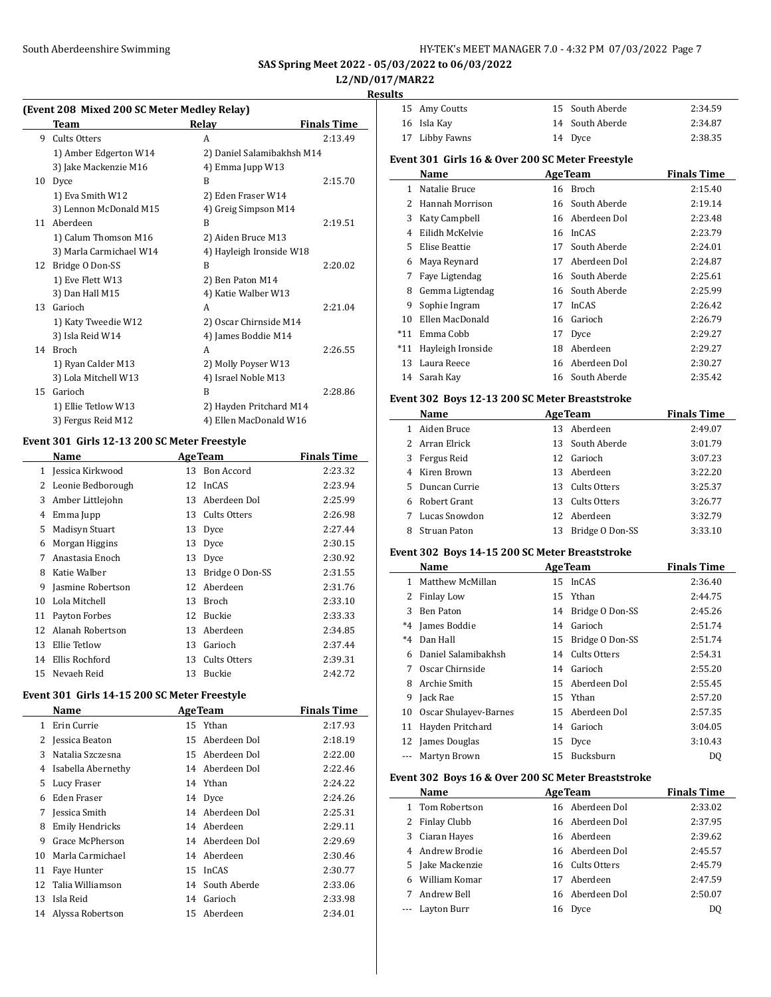# **Results**

| (Event 208 Mixed 200 SC Meter Medley Relay) |                            |                    |  |  |
|---------------------------------------------|----------------------------|--------------------|--|--|
| Team                                        | Relay                      | <b>Finals Time</b> |  |  |
|                                             | A                          | 2:13.49            |  |  |
| 1) Amber Edgerton W14                       | 2) Daniel Salamibakhsh M14 |                    |  |  |
| 3) Jake Mackenzie M16                       | 4) Emma Jupp W13           |                    |  |  |
| Dyce                                        | B                          | 2:15.70            |  |  |
| 1) Eva Smith W12                            | 2) Eden Fraser W14         |                    |  |  |
| 3) Lennon McDonald M15                      | 4) Greig Simpson M14       |                    |  |  |
| Aberdeen                                    | B                          | 2:19.51            |  |  |
| 1) Calum Thomson M16                        | 2) Aiden Bruce M13         |                    |  |  |
| 3) Marla Carmichael W14                     | 4) Hayleigh Ironside W18   |                    |  |  |
| Bridge O Don-SS                             | B                          | 2:20.02            |  |  |
| 1) Eve Flett W13                            | 2) Ben Paton M14           |                    |  |  |
| 3) Dan Hall M15                             | 4) Katie Walber W13        |                    |  |  |
| Garioch                                     | A                          | 2:21.04            |  |  |
| 1) Katy Tweedie W12                         | 2) Oscar Chirnside M14     |                    |  |  |
| 3) Isla Reid W14                            | 4) James Boddie M14        |                    |  |  |
| <b>Broch</b>                                | A                          | 2:26.55            |  |  |
| 1) Ryan Calder M13                          | 2) Molly Poyser W13        |                    |  |  |
| 3) Lola Mitchell W13                        | 4) Israel Noble M13        |                    |  |  |
| Garioch                                     | B                          | 2:28.86            |  |  |
| 1) Ellie Tetlow W13                         | 2) Hayden Pritchard M14    |                    |  |  |
| 3) Fergus Reid M12                          | 4) Ellen MacDonald W16     |                    |  |  |
|                                             | 9 Cults Otters<br>11       |                    |  |  |

## **Event 301 Girls 12-13 200 SC Meter Freestyle**

|              | Name              |    | <b>AgeTeam</b>  | <b>Finals Time</b> |
|--------------|-------------------|----|-----------------|--------------------|
| $\mathbf{1}$ | Jessica Kirkwood  | 13 | Bon Accord      | 2:23.32            |
| 2            | Leonie Bedborough | 12 | InCAS           | 2:23.94            |
| 3            | Amber Littlejohn  | 13 | Aberdeen Dol    | 2:25.99            |
| 4            | Emma Jupp         | 13 | Cults Otters    | 2:26.98            |
| 5            | Madisyn Stuart    | 13 | Dyce            | 2:27.44            |
| 6            | Morgan Higgins    | 13 | Dyce            | 2:30.15            |
| 7            | Anastasia Enoch   | 13 | Dyce            | 2:30.92            |
| 8            | Katie Walber      | 13 | Bridge O Don-SS | 2:31.55            |
| 9            | Jasmine Robertson | 12 | Aberdeen        | 2:31.76            |
| 10           | Lola Mitchell     | 13 | Broch           | 2:33.10            |
| 11           | Payton Forbes     | 12 | <b>Buckie</b>   | 2:33.33            |
| 12           | Alanah Robertson  | 13 | Aberdeen        | 2:34.85            |
| 13           | Ellie Tetlow      | 13 | Garioch         | 2:37.44            |
| 14           | Ellis Rochford    | 13 | Cults Otters    | 2:39.31            |
| 15           | Nevaeh Reid       | 13 | Buckie          | 2:42.72            |

# **Event 301 Girls 14-15 200 SC Meter Freestyle**

|    | Name                   |    | <b>AgeTeam</b>  | <b>Finals Time</b> |
|----|------------------------|----|-----------------|--------------------|
| 1  | Erin Currie            |    | 15 Ythan        | 2:17.93            |
| 2  | Jessica Beaton         |    | 15 Aberdeen Dol | 2:18.19            |
| 3  | Natalia Szczesna       |    | 15 Aberdeen Dol | 2:22.00            |
| 4  | Isabella Abernethy     |    | 14 Aberdeen Dol | 2:22.46            |
| 5. | Lucy Fraser            |    | 14 Ythan        | 2:24.22            |
| 6  | Eden Fraser            |    | 14 Dyce         | 2:24.26            |
| 7  | Jessica Smith          |    | 14 Aberdeen Dol | 2:25.31            |
| 8  | <b>Emily Hendricks</b> |    | 14 Aberdeen     | 2:29.11            |
| 9  | Grace McPherson        |    | 14 Aberdeen Dol | 2:29.69            |
| 10 | Marla Carmichael       |    | 14 Aberdeen     | 2:30.46            |
| 11 | Faye Hunter            | 15 | InCAS           | 2:30.77            |
| 12 | Talia Williamson       | 14 | South Aberde    | 2:33.06            |
| 13 | Isla Reid              | 14 | Garioch         | 2:33.98            |
| 14 | Alyssa Robertson       |    | 15 Aberdeen     | 2:34.01            |

| 15 Amy Coutts  | 15 South Aberde | 2:34.59 |
|----------------|-----------------|---------|
| 16 Isla Kay    | 14 South Aberde | 2:34.87 |
| 17 Libby Fawns | 14 Dyce         | 2:38.35 |

# **Event 301 Girls 16 & Over 200 SC Meter Freestyle**

|       | Name              |    | <b>AgeTeam</b>  | <b>Finals Time</b> |
|-------|-------------------|----|-----------------|--------------------|
| 1     | Natalie Bruce     | 16 | Broch           | 2:15.40            |
| 2     | Hannah Morrison   | 16 | South Aberde    | 2:19.14            |
| 3     | Katy Campbell     |    | 16 Aberdeen Dol | 2:23.48            |
| 4     | Eilidh McKelvie   | 16 | <b>InCAS</b>    | 2:23.79            |
| 5.    | Elise Beattie     | 17 | South Aberde    | 2:24.01            |
| 6     | Maya Reynard      | 17 | Aberdeen Dol    | 2:24.87            |
| 7     | Faye Ligtendag    | 16 | South Aberde    | 2:25.61            |
| 8     | Gemma Ligtendag   | 16 | South Aberde    | 2:25.99            |
| 9     | Sophie Ingram     | 17 | <b>InCAS</b>    | 2:26.42            |
| 10    | Ellen MacDonald   | 16 | Garioch         | 2:26.79            |
| $*11$ | Emma Cobb         | 17 | Dyce            | 2:29.27            |
| *11   | Hayleigh Ironside | 18 | Aberdeen        | 2:29.27            |
| 13    | Laura Reece       | 16 | Aberdeen Dol    | 2:30.27            |
| 14    | Sarah Kay         | 16 | South Aberde    | 2:35.42            |

## **Event 302 Boys 12-13 200 SC Meter Breaststroke**

|   | Name            |    | <b>AgeTeam</b>  | <b>Finals Time</b> |
|---|-----------------|----|-----------------|--------------------|
| 1 | Aiden Bruce     |    | 13 Aberdeen     | 2:49.07            |
|   | 2 Arran Elrick  |    | 13 South Aberde | 3:01.79            |
|   | 3 Fergus Reid   |    | 12 Garioch      | 3:07.23            |
|   | 4 Kiren Brown   |    | 13 Aberdeen     | 3:22.20            |
|   | 5 Duncan Currie |    | 13 Cults Otters | 3:25.37            |
|   | 6 Robert Grant  |    | 13 Cults Otters | 3:26.77            |
| 7 | Lucas Snowdon   |    | 12 Aberdeen     | 3:32.79            |
| 8 | Struan Paton    | 13 | Bridge O Don-SS | 3:33.10            |

#### **Event 302 Boys 14-15 200 SC Meter Breaststroke**

|         | Name                  |    | <b>AgeTeam</b>  | <b>Finals Time</b> |
|---------|-----------------------|----|-----------------|--------------------|
|         | Matthew McMillan      |    | 15 InCAS        | 2:36.40            |
|         | 2 Finlay Low          |    | 15 Ythan        | 2:44.75            |
| 3       | <b>Ben Paton</b>      | 14 | Bridge O Don-SS | 2:45.26            |
| $*_{4}$ | James Boddie          |    | 14 Garioch      | 2:51.74            |
| $*_{4}$ | Dan Hall              | 15 | Bridge O Don-SS | 2:51.74            |
| 6       | Daniel Salamibakhsh   |    | 14 Cults Otters | 2:54.31            |
| 7       | Oscar Chirnside       | 14 | Garioch         | 2:55.20            |
| 8       | Archie Smith          |    | 15 Aberdeen Dol | 2:55.45            |
| 9       | Jack Rae              |    | 15 Ythan        | 2:57.20            |
| 10      | Oscar Shulayev-Barnes |    | 15 Aberdeen Dol | 2:57.35            |
| 11      | Hayden Pritchard      | 14 | Garioch         | 3:04.05            |
|         | 12 James Douglas      |    | 15 Dyce         | 3:10.43            |
|         | Martyn Brown          | 15 | Bucksburn       | DO.                |

## **Event 302 Boys 16 & Over 200 SC Meter Breaststroke**

|   | <b>Name</b>      |    | <b>AgeTeam</b>  | <b>Finals Time</b> |
|---|------------------|----|-----------------|--------------------|
|   | 1 Tom Robertson  |    | 16 Aberdeen Dol | 2:33.02            |
|   | 2 Finlay Clubb   |    | 16 Aberdeen Dol | 2:37.95            |
|   | 3 Ciaran Hayes   |    | 16 Aberdeen     | 2:39.62            |
|   | 4 Andrew Brodie  |    | 16 Aberdeen Dol | 2:45.57            |
|   | 5 Jake Mackenzie |    | 16 Cults Otters | 2:45.79            |
| 6 | William Komar    | 17 | Aberdeen        | 2:47.59            |
| 7 | Andrew Bell      |    | 16 Aberdeen Dol | 2:50.07            |
|   | --- Layton Burr  |    | 16 Dyce         | D <sub>0</sub>     |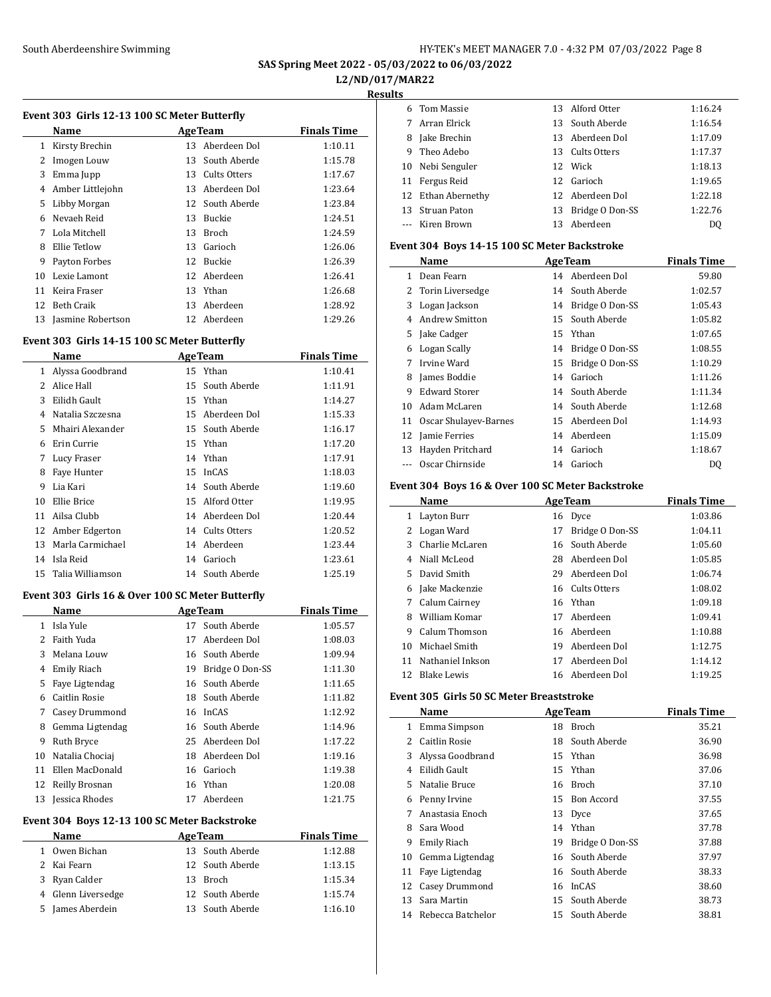## South Aberdeenshire Swimming HY-TEK's MEET MANAGER 7.0 - 4:32 PM 07/03/2022 Page 8

**SAS Spring Meet 2022 - 05/03/2022 to 06/03/2022 L2/ND/017/MAR22**

# **Results**

 $\overline{a}$ 

#### **Event 303 Girls 12-13 100 SC Meter Butterfly**

|     | Name              |    | <b>AgeTeam</b>  | <b>Finals Time</b> |
|-----|-------------------|----|-----------------|--------------------|
| 1   | Kirsty Brechin    |    | 13 Aberdeen Dol | 1:10.11            |
| 2   | Imogen Louw       |    | 13 South Aberde | 1:15.78            |
| 3   | Emma Jupp         |    | 13 Cults Otters | 1:17.67            |
| 4   | Amber Littlejohn  |    | 13 Aberdeen Dol | 1:23.64            |
| 5   | Libby Morgan      |    | 12 South Aberde | 1:23.84            |
| 6   | Nevaeh Reid       | 13 | Buckie          | 1:24.51            |
|     | Lola Mitchell     | 13 | Broch           | 1:24.59            |
| 8   | Ellie Tetlow      | 13 | Garioch         | 1:26.06            |
| 9   | Payton Forbes     |    | 12 Buckie       | 1:26.39            |
| 10  | Lexie Lamont      |    | 12 Aberdeen     | 1:26.41            |
| 11  | Keira Fraser      |    | 13 Ythan        | 1:26.68            |
| 12. | <b>Beth Craik</b> |    | 13 Aberdeen     | 1:28.92            |
| 13  | Jasmine Robertson |    | 12 Aberdeen     | 1:29.26            |

# **Event 303 Girls 14-15 100 SC Meter Butterfly**

|               | Name                |    | <b>AgeTeam</b>  | <b>Finals Time</b> |
|---------------|---------------------|----|-----------------|--------------------|
| $\mathbf{1}$  | Alyssa Goodbrand    |    | 15 Ythan        | 1:10.41            |
| $\mathcal{L}$ | Alice Hall          |    | 15 South Aberde | 1:11.91            |
| 3             | Eilidh Gault        |    | 15 Ythan        | 1:14.27            |
| 4             | Natalia Szczesna    |    | 15 Aberdeen Dol | 1:15.33            |
| 5.            | Mhairi Alexander    |    | 15 South Aberde | 1:16.17            |
| 6             | Erin Currie         |    | 15 Ythan        | 1:17.20            |
| 7             | Lucy Fraser         |    | 14 Ythan        | 1:17.91            |
| 8             | Faye Hunter         | 15 | InCAS           | 1:18.03            |
| 9             | Lia Kari            |    | 14 South Aberde | 1:19.60            |
| 10            | Ellie Brice         |    | 15 Alford Otter | 1:19.95            |
| 11            | Ailsa Clubb         | 14 | Aberdeen Dol    | 1:20.44            |
|               | 12 Amber Edgerton   |    | 14 Cults Otters | 1:20.52            |
| 13            | Marla Carmichael    |    | 14 Aberdeen     | 1:23.44            |
| 14            | Isla Reid           | 14 | Garioch         | 1:23.61            |
|               | 15 Talia Williamson |    | 14 South Aberde | 1:25.19            |

# **Event 303 Girls 16 & Over 100 SC Meter Butterfly**

|    | Name                 |    | <b>AgeTeam</b>  | <b>Finals Time</b> |
|----|----------------------|----|-----------------|--------------------|
| 1  | Isla Yule            | 17 | South Aberde    | 1:05.57            |
| 2  | Faith Yuda           | 17 | Aberdeen Dol    | 1:08.03            |
| 3  | Melana Louw          | 16 | South Aberde    | 1:09.94            |
| 4  | Emily Riach          | 19 | Bridge O Don-SS | 1:11.30            |
| 5  | Fave Ligtendag       | 16 | South Aberde    | 1:11.65            |
| 6  | <b>Caitlin Rosie</b> | 18 | South Aberde    | 1:11.82            |
| 7  | Casey Drummond       |    | 16 InCAS        | 1:12.92            |
| 8  | Gemma Ligtendag      | 16 | South Aberde    | 1:14.96            |
| 9  | Ruth Bryce           |    | 25 Aberdeen Dol | 1:17.22            |
| 10 | Natalia Chociai      | 18 | Aberdeen Dol    | 1:19.16            |
| 11 | Ellen MacDonald      | 16 | Garioch         | 1:19.38            |
| 12 | Reilly Brosnan       | 16 | Ythan           | 1:20.08            |
| 13 | Jessica Rhodes       | 17 | Aberdeen        | 1:21.75            |

#### **Event 304 Boys 12-13 100 SC Meter Backstroke**

| <b>Name</b>        | <b>AgeTeam</b>  | <b>Finals Time</b> |
|--------------------|-----------------|--------------------|
| 1 Owen Bichan      | 13 South Aberde | 1:12.88            |
| 2 Kai Fearn        | 12 South Aberde | 1:13.15            |
| 3 Ryan Calder      | 13 Broch        | 1:15.34            |
| 4 Glenn Liversedge | 12 South Aberde | 1:15.74            |
| 5 James Aberdein   | 13 South Aberde | 1:16.10            |

| 6            | Tom Massie                                    |    | 13 Alford Otter | 1:16.24            |
|--------------|-----------------------------------------------|----|-----------------|--------------------|
| 7            | Arran Elrick                                  | 13 | South Aberde    | 1:16.54            |
| 8            | Jake Brechin                                  | 13 | Aberdeen Dol    | 1:17.09            |
| 9            | Theo Adebo                                    | 13 | Cults Otters    | 1:17.37            |
| 10           | Nebi Senguler                                 | 12 | Wick            | 1:18.13            |
| 11           | Fergus Reid                                   | 12 | Garioch         | 1:19.65            |
| 12           | Ethan Abernethy                               | 12 | Aberdeen Dol    | 1:22.18            |
| 13           | <b>Struan Paton</b>                           | 13 | Bridge O Don-SS | 1:22.76            |
|              | Kiren Brown                                   | 13 | Aberdeen        | DQ                 |
|              |                                               |    |                 |                    |
|              | Event 304  Boys 14-15 100 SC Meter Backstroke |    |                 |                    |
|              | Name                                          |    | <b>AgeTeam</b>  | <b>Finals Time</b> |
| $\mathbf{1}$ | Dean Fearn                                    |    | 14 Aberdeen Dol | 59.80              |
| 2            | Torin Liversedge                              | 14 | South Aberde    | 1:02.57            |
| 3            | Logan Jackson                                 | 14 | Bridge O Don-SS | 1:05.43            |
| 4            | Andrew Smitton                                | 15 | South Aberde    | 1:05.82            |
| 5            | Jake Cadger                                   | 15 | Ythan           | 1:07.65            |

|    | Name                  |    | <b>AgeTeam</b>  | <b>Finals Time</b> |
|----|-----------------------|----|-----------------|--------------------|
| 1  | Dean Fearn            |    | 14 Aberdeen Dol | 59.80              |
| 2  | Torin Liversedge      | 14 | South Aberde    | 1:02.57            |
| 3  | Logan Jackson         | 14 | Bridge 0 Don-SS | 1:05.43            |
| 4  | Andrew Smitton        | 15 | South Aberde    | 1:05.82            |
| 5  | Jake Cadger           |    | 15 Ythan        | 1:07.65            |
| 6  | Logan Scally          | 14 | Bridge O Don-SS | 1:08.55            |
| 7  | Irvine Ward           | 15 | Bridge O Don-SS | 1:10.29            |
| 8  | James Boddie          | 14 | Garioch         | 1:11.26            |
| 9  | <b>Edward Storer</b>  |    | 14 South Aberde | 1:11.34            |
| 10 | Adam McLaren          |    | 14 South Aberde | 1:12.68            |
| 11 | Oscar Shulayev-Barnes |    | 15 Aberdeen Dol | 1:14.93            |
| 12 | Jamie Ferries         | 14 | Aberdeen        | 1:15.09            |
| 13 | Hayden Pritchard      | 14 | Garioch         | 1:18.67            |
|    | Oscar Chirnside       | 14 | Garioch         | DO                 |

## **Event 304 Boys 16 & Over 100 SC Meter Backstroke**

|              | Name             |    | <b>AgeTeam</b>  | <b>Finals Time</b> |
|--------------|------------------|----|-----------------|--------------------|
| $\mathbf{1}$ | Layton Burr      |    | 16 Dyce         | 1:03.86            |
|              | 2 Logan Ward     | 17 | Bridge O Don-SS | 1:04.11            |
| 3            | Charlie McLaren  | 16 | South Aberde    | 1:05.60            |
| 4            | Niall McLeod     |    | 28 Aberdeen Dol | 1:05.85            |
| 5.           | David Smith      | 29 | Aberdeen Dol    | 1:06.74            |
| 6            | Jake Mackenzie   |    | 16 Cults Otters | 1:08.02            |
| 7            | Calum Cairney    |    | 16 Ythan        | 1:09.18            |
| 8            | William Komar    |    | 17 Aberdeen     | 1:09.41            |
| 9            | Calum Thomson    |    | 16 Aberdeen     | 1:10.88            |
| 10           | Michael Smith    | 19 | Aberdeen Dol    | 1:12.75            |
| 11           | Nathaniel Inkson | 17 | Aberdeen Dol    | 1:14.12            |
| 12           | Blake Lewis      |    | 16 Aberdeen Dol | 1:19.25            |

# **Event 305 Girls 50 SC Meter Breaststroke**

|    | Name              |    | <b>AgeTeam</b>  | <b>Finals Time</b> |
|----|-------------------|----|-----------------|--------------------|
| 1  | Emma Simpson      | 18 | Broch           | 35.21              |
| 2  | Caitlin Rosie     | 18 | South Aberde    | 36.90              |
| 3  | Alyssa Goodbrand  |    | 15 Ythan        | 36.98              |
| 4  | Eilidh Gault      |    | 15 Ythan        | 37.06              |
| 5. | Natalie Bruce     | 16 | Broch           | 37.10              |
| 6  | Penny Irvine      | 15 | Bon Accord      | 37.55              |
| 7  | Anastasia Enoch   | 13 | Dyce            | 37.65              |
| 8  | Sara Wood         | 14 | Ythan           | 37.78              |
| 9  | Emily Riach       | 19 | Bridge O Don-SS | 37.88              |
| 10 | Gemma Ligtendag   |    | 16 South Aberde | 37.97              |
| 11 | Faye Ligtendag    |    | 16 South Aberde | 38.33              |
|    | 12 Casey Drummond | 16 | InCAS           | 38.60              |
| 13 | Sara Martin       | 15 | South Aberde    | 38.73              |
| 14 | Rebecca Batchelor | 15 | South Aberde    | 38.81              |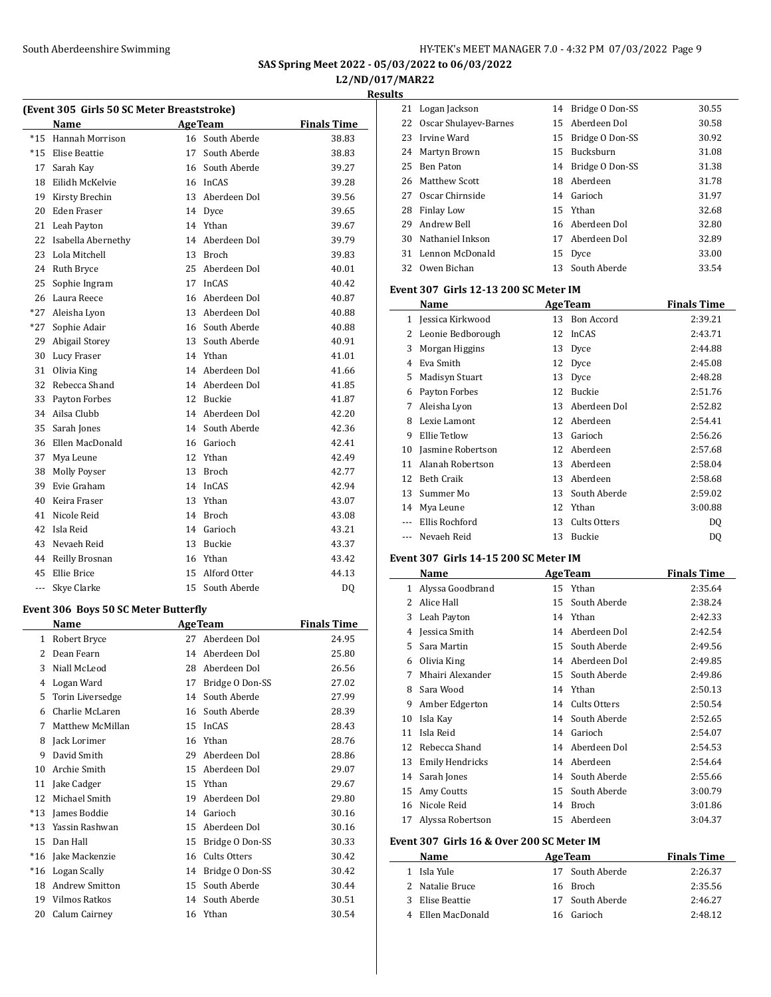**Results**

| (Event 305 Girls 50 SC Meter Breaststroke) |                      |                 |                 |                    |  |
|--------------------------------------------|----------------------|-----------------|-----------------|--------------------|--|
|                                            | <b>Name</b>          |                 | <b>AgeTeam</b>  | <b>Finals Time</b> |  |
| $*15$                                      | Hannah Morrison      | 16              | South Aberde    | 38.83              |  |
| $*15$                                      | <b>Elise Beattie</b> | 17              | South Aberde    | 38.83              |  |
| 17                                         | Sarah Kay            | 16              | South Aberde    | 39.27              |  |
| 18                                         | Eilidh McKelvie      |                 | 16 InCAS        | 39.28              |  |
| 19                                         | Kirsty Brechin       |                 | 13 Aberdeen Dol | 39.56              |  |
| 20                                         | <b>Eden Fraser</b>   | 14              | Dyce            | 39.65              |  |
| 21                                         | Leah Payton          | 14              | Ythan           | 39.67              |  |
| 22                                         | Isabella Abernethy   | 14              | Aberdeen Dol    | 39.79              |  |
| 23                                         | Lola Mitchell        | 13              | <b>Broch</b>    | 39.83              |  |
| 24                                         | Ruth Bryce           | 25              | Aberdeen Dol    | 40.01              |  |
| 25                                         | Sophie Ingram        | 17              | <b>InCAS</b>    | 40.42              |  |
| 26                                         | Laura Reece          | 16              | Aberdeen Dol    | 40.87              |  |
| $*27$                                      | Aleisha Lyon         |                 | 13 Aberdeen Dol | 40.88              |  |
| $*27$                                      | Sophie Adair         | 16              | South Aberde    | 40.88              |  |
| 29                                         | Abigail Storey       | 13              | South Aberde    | 40.91              |  |
| 30                                         | Lucy Fraser          | 14              | Ythan           | 41.01              |  |
| 31                                         | Olivia King          | 14              | Aberdeen Dol    | 41.66              |  |
| 32                                         | Rebecca Shand        |                 | 14 Aberdeen Dol | 41.85              |  |
| 33                                         | Payton Forbes        | 12              | Buckie          | 41.87              |  |
| 34                                         | Ailsa Clubb          | 14              | Aberdeen Dol    | 42.20              |  |
| 35                                         | Sarah Jones          | 14              | South Aberde    | 42.36              |  |
| 36                                         | Ellen MacDonald      |                 | 16 Garioch      | 42.41              |  |
| 37                                         | Mya Leune            | 12              | Ythan           | 42.49              |  |
| 38                                         | Molly Poyser         | 13              | <b>Broch</b>    | 42.77              |  |
| 39                                         | Evie Graham          | 14              | <b>InCAS</b>    | 42.94              |  |
| 40                                         | Keira Fraser         | 13              | Ythan           | 43.07              |  |
| 41                                         | Nicole Reid          | 14              | Broch           | 43.08              |  |
| 42                                         | Isla Reid            | 14              | Garioch         | 43.21              |  |
| 43                                         | Nevaeh Reid          | 13              | Buckie          | 43.37              |  |
| 44                                         | Reilly Brosnan       | 16              | Ythan           | 43.42              |  |
| 45                                         | Ellie Brice          | 15 <sup>2</sup> | Alford Otter    | 44.13              |  |
| $\overline{a}$                             | Skve Clarke          | 15              | South Aberde    | D <sub>0</sub>     |  |

# **Event 306 Boys 50 SC Meter Butterfly**

|       | Name                  |    | <b>Age Team</b> | <b>Finals Time</b> |
|-------|-----------------------|----|-----------------|--------------------|
| 1     | Robert Bryce          | 27 | Aberdeen Dol    | 24.95              |
| 2     | Dean Fearn            | 14 | Aberdeen Dol    | 25.80              |
| 3     | Niall McLeod          | 28 | Aberdeen Dol    | 26.56              |
| 4     | Logan Ward            | 17 | Bridge O Don-SS | 27.02              |
| 5     | Torin Liversedge      | 14 | South Aberde    | 27.99              |
| 6     | Charlie McLaren       | 16 | South Aberde    | 28.39              |
| 7     | Matthew McMillan      | 15 | <b>InCAS</b>    | 28.43              |
| 8     | Jack Lorimer          | 16 | Ythan           | 28.76              |
| 9     | David Smith           | 29 | Aberdeen Dol    | 28.86              |
| 10    | Archie Smith          | 15 | Aberdeen Dol    | 29.07              |
| 11    | Jake Cadger           | 15 | Ythan           | 29.67              |
| 12    | Michael Smith         | 19 | Aberdeen Dol    | 29.80              |
| $*13$ | James Boddie          | 14 | Garioch         | 30.16              |
| $*13$ | Yassin Rashwan        | 15 | Aberdeen Dol    | 30.16              |
| 15    | Dan Hall              | 15 | Bridge O Don-SS | 30.33              |
| $*16$ | Jake Mackenzie        | 16 | Cults Otters    | 30.42              |
| $*16$ | Logan Scally          | 14 | Bridge O Don-SS | 30.42              |
| 18    | <b>Andrew Smitton</b> | 15 | South Aberde    | 30.44              |
| 19    | Vilmos Ratkos         | 14 | South Aberde    | 30.51              |
| 20    | Calum Cairney         | 16 | Ythan           | 30.54              |
|       |                       |    |                 |                    |

|     | 21 Logan Jackson         | 14  | Bridge 0 Don-SS    | 30.55 |
|-----|--------------------------|-----|--------------------|-------|
|     | 22 Oscar Shulayev-Barnes |     | 15 Aberdeen Dol    | 30.58 |
| 23. | Irvine Ward              | 15  | Bridge 0 Don-SS    | 30.92 |
|     | 24 Martyn Brown          | 15. | <b>Bucksburn</b>   | 31.08 |
| 25  | Ben Paton                |     | 14 Bridge 0 Don-SS | 31.38 |
|     | 26 Matthew Scott         | 18. | Aberdeen           | 31.78 |
| 27  | Oscar Chirnside          |     | 14 Garioch         | 31.97 |
| 28  | <b>Finlay Low</b>        |     | 15 Ythan           | 32.68 |
| 29  | Andrew Bell              |     | 16 Aberdeen Dol    | 32.80 |
| 30. | Nathaniel Inkson         |     | 17 Aberdeen Dol    | 32.89 |
| 31  | Lennon McDonald          | 15  | Dyce               | 33.00 |
| 32  | Owen Bichan              | 13. | South Aberde       | 33.54 |

## **Event 307 Girls 12-13 200 SC Meter IM**

|    | Name              |    | <b>AgeTeam</b>    | <b>Finals Time</b> |
|----|-------------------|----|-------------------|--------------------|
| 1  | Jessica Kirkwood  | 13 | <b>Bon Accord</b> | 2:39.21            |
| 2  | Leonie Bedborough | 12 | InCAS             | 2:43.71            |
| 3  | Morgan Higgins    | 13 | Dyce              | 2:44.88            |
| 4  | Eva Smith         |    | 12 Dyce           | 2:45.08            |
| 5  | Madisyn Stuart    | 13 | Dyce              | 2:48.28            |
| 6  | Payton Forbes     | 12 | Buckie            | 2:51.76            |
| 7  | Aleisha Lyon      | 13 | Aberdeen Dol      | 2:52.82            |
| 8  | Lexie Lamont      | 12 | Aberdeen          | 2:54.41            |
| 9  | Ellie Tetlow      | 13 | Garioch           | 2:56.26            |
| 10 | Jasmine Robertson | 12 | Aberdeen          | 2:57.68            |
| 11 | Alanah Robertson  | 13 | Aberdeen          | 2:58.04            |
| 12 | <b>Beth Craik</b> | 13 | Aberdeen          | 2:58.68            |
| 13 | Summer Mo         | 13 | South Aberde      | 2:59.02            |
| 14 | Mya Leune         | 12 | Ythan             | 3:00.88            |
|    | Ellis Rochford    | 13 | Cults Otters      | DQ                 |
|    | Nevaeh Reid       | 13 | Buckie            | DQ                 |

## **Event 307 Girls 14-15 200 SC Meter IM**

|              | Name             |    | <b>AgeTeam</b>  | <b>Finals Time</b> |
|--------------|------------------|----|-----------------|--------------------|
| $\mathbf{1}$ | Alyssa Goodbrand | 15 | Ythan           | 2:35.64            |
| 2            | Alice Hall       | 15 | South Aberde    | 2:38.24            |
| 3            | Leah Payton      |    | 14 Ythan        | 2:42.33            |
| 4            | Jessica Smith    | 14 | Aberdeen Dol    | 2:42.54            |
| 5.           | Sara Martin      |    | 15 South Aberde | 2:49.56            |
| 6            | Olivia King      |    | 14 Aberdeen Dol | 2:49.85            |
| 7            | Mhairi Alexander |    | 15 South Aberde | 2:49.86            |
| 8            | Sara Wood        |    | 14 Ythan        | 2:50.13            |
| 9            | Amber Edgerton   |    | 14 Cults Otters | 2:50.54            |
| 10           | Isla Kay         |    | 14 South Aberde | 2:52.65            |
| 11           | Isla Reid        | 14 | Garioch         | 2:54.07            |
| 12           | Rebecca Shand    | 14 | Aberdeen Dol    | 2:54.53            |
| 13           | Emily Hendricks  | 14 | Aberdeen        | 2:54.64            |
| 14           | Sarah Jones      |    | 14 South Aberde | 2:55.66            |
| 15           | Amy Coutts       | 15 | South Aberde    | 3:00.79            |
| 16           | Nicole Reid      | 14 | Broch           | 3:01.86            |
| 17           | Alyssa Robertson |    | 15 Aberdeen     | 3:04.37            |

## **Event 307 Girls 16 & Over 200 SC Meter IM**

 $\overline{\phantom{0}}$ 

|   | Name            | <b>AgeTeam</b> |                 | <b>Finals Time</b> |
|---|-----------------|----------------|-----------------|--------------------|
|   | Isla Yule       |                | 17 South Aberde | 2:26.37            |
|   | 2 Natalie Bruce |                | 16 Broch        | 2:35.56            |
| 3 | Elise Beattie   |                | 17 South Aberde | 2:46.27            |
|   | Ellen MacDonald |                | 16 Garioch      | 2:48.12            |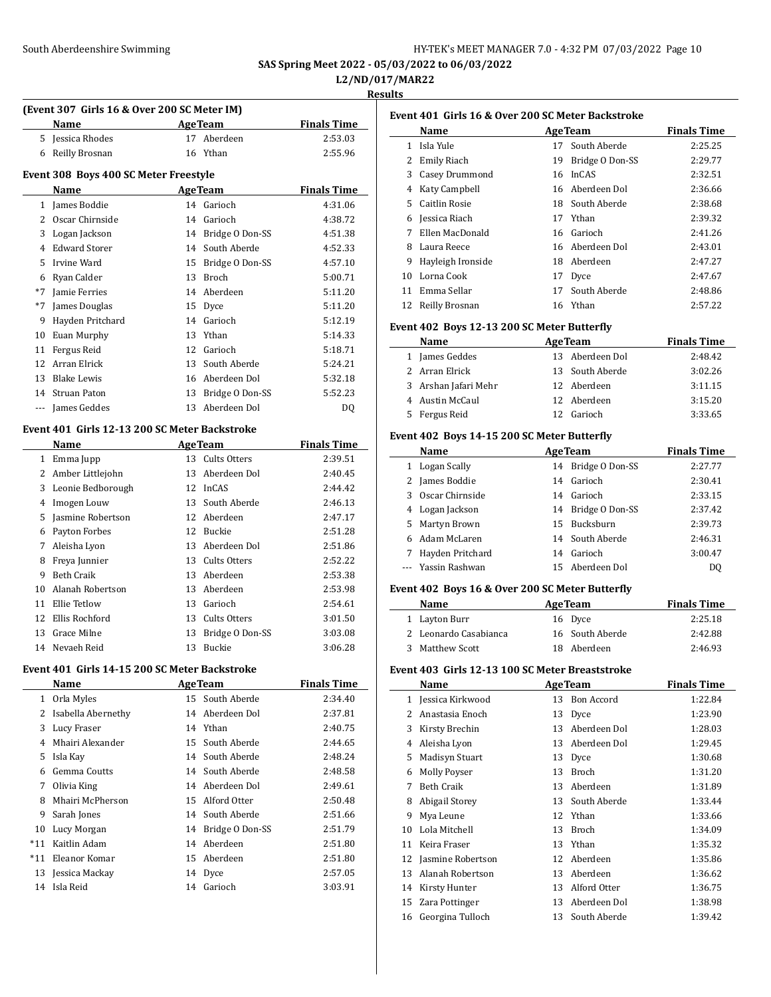| HY-TEK's MEET MANAGER 7.0 - 4:32 PM 07/03/2022 Page 10 |
|--------------------------------------------------------|
|--------------------------------------------------------|

**SAS Spring Meet 2022 - 05/03/2022 to 06/03/2022**

**L2/ND/017/MAR22**

**Results**

| (Event 307 Girls 16 & Over 200 SC Meter IM) |                                               |                    |                           |                    |  |
|---------------------------------------------|-----------------------------------------------|--------------------|---------------------------|--------------------|--|
|                                             | Name                                          |                    | <b>AgeTeam</b>            | <b>Finals Time</b> |  |
|                                             | 5 Jessica Rhodes                              |                    | 17 Aberdeen               | 2:53.03            |  |
|                                             | 6 Reilly Brosnan                              |                    | 16 Ythan                  | 2:55.96            |  |
|                                             | Event 308 Boys 400 SC Meter Freestyle         |                    |                           |                    |  |
|                                             | Name                                          | <b>Finals Time</b> |                           |                    |  |
| $\mathbf{1}$                                | James Boddie                                  | 14                 | <b>AgeTeam</b><br>Garioch | 4:31.06            |  |
|                                             | 2 Oscar Chirnside                             |                    | 14 Garioch                | 4:38.72            |  |
| 3                                           | Logan Jackson                                 |                    | 14 Bridge O Don-SS        | 4:51.38            |  |
| 4                                           | <b>Edward Storer</b>                          |                    | 14 South Aberde           | 4:52.33            |  |
| 5                                           | Irvine Ward                                   | 15                 | Bridge 0 Don-SS           | 4:57.10            |  |
| 6                                           | Ryan Calder                                   | 13                 | <b>Broch</b>              | 5:00.71            |  |
| $*7$                                        | Jamie Ferries                                 |                    | 14 Aberdeen               | 5:11.20            |  |
| $*7$                                        | James Douglas                                 |                    | 15 Dyce                   | 5:11.20            |  |
| 9                                           | Hayden Pritchard                              |                    | 14 Garioch                | 5:12.19            |  |
| 10                                          | Euan Murphy                                   | 13                 | Ythan                     | 5:14.33            |  |
| 11                                          | Fergus Reid                                   | 12                 | Garioch                   | 5:18.71            |  |
| 12                                          | Arran Elrick                                  | 13                 | South Aberde              | 5:24.21            |  |
| 13                                          | <b>Blake Lewis</b>                            |                    | 16 Aberdeen Dol           | 5:32.18            |  |
| 14                                          | Struan Paton                                  |                    | 13 Bridge O Don-SS        | 5:52.23            |  |
| $\overline{a}$                              | James Geddes                                  |                    | 13 Aberdeen Dol           | DQ                 |  |
|                                             | Event 401 Girls 12-13 200 SC Meter Backstroke |                    |                           |                    |  |
|                                             | Name                                          |                    | <b>AgeTeam</b>            | <b>Finals Time</b> |  |
|                                             | 1 Emma Jupp                                   | 13                 | <b>Cults Otters</b>       | 2:39.51            |  |
| $\overline{2}$                              | Amber Littlejohn                              |                    | 13 Aberdeen Dol           | 2:40.45            |  |
| 3                                           | Leonie Bedborough                             |                    | 12 InCAS                  | 2:44.42            |  |
| 4                                           | Imogen Louw                                   |                    | 13 South Aberde           | 2:46.13            |  |
| 5                                           | Jasmine Robertson                             | 12                 | Aberdeen                  | 2:47.17            |  |
| 6                                           | Payton Forbes                                 | 12                 | <b>Buckie</b>             | 2:51.28            |  |
| 7                                           | Aleisha Lyon                                  |                    | 13 Aberdeen Dol           | 2:51.86            |  |
| 8                                           | Freya Junnier                                 |                    | 13 Cults Otters           | 2:52.22            |  |
| 9                                           | <b>Beth Craik</b>                             |                    | 13 Aberdeen               | 2:53.38            |  |
| 10                                          | Alanah Robertson                              | 13                 | Aberdeen                  | 2:53.98            |  |

# Nevaeh Reid 13 Buckie 3:06.28 **Event 401 Girls 14-15 200 SC Meter Backstroke**

|     | Name               | <b>AgeTeam</b> |                    | <b>Finals Time</b> |
|-----|--------------------|----------------|--------------------|--------------------|
| 1   | Orla Myles         |                | 15 South Aberde    | 2:34.40            |
| 2   | Isabella Abernethy |                | 14 Aberdeen Dol    | 2:37.81            |
| 3   | Lucy Fraser        |                | 14 Ythan           | 2:40.75            |
| 4   | Mhairi Alexander   |                | 15 South Aberde    | 2:44.65            |
| 5   | Isla Kay           |                | 14 South Aberde    | 2:48.24            |
| 6   | Gemma Coutts       |                | 14 South Aberde    | 2:48.58            |
| 7   | Olivia King        |                | 14 Aberdeen Dol    | 2:49.61            |
| 8   | Mhairi McPherson   |                | 15 Alford Otter    | 2:50.48            |
| 9   | Sarah Jones        |                | 14 South Aberde    | 2:51.66            |
| 10  | Lucy Morgan        |                | 14 Bridge 0 Don-SS | 2:51.79            |
| *11 | Kaitlin Adam       |                | 14 Aberdeen        | 2:51.80            |
| *11 | Eleanor Komar      |                | 15 Aberdeen        | 2:51.80            |
| 13  | Jessica Mackay     |                | 14 Dyce            | 2:57.05            |
| 14  | Isla Reid          | 14             | Garioch            | 3:03.91            |

 Ellie Tetlow 13 Garioch 2:54.61 Ellis Rochford 13 Cults Otters 3:01.50 Grace Milne 13 Bridge O Don-SS 3:03.08

|              | Event 401 Girls 16 & Over 200 SC Meter Backstroke<br>Name |          | <b>AgeTeam</b>                      | <b>Finals Time</b>            |
|--------------|-----------------------------------------------------------|----------|-------------------------------------|-------------------------------|
| 1            | Isla Yule                                                 | 17       | South Aberde                        | 2:25.25                       |
|              | 2 Emily Riach                                             |          | 19 Bridge O Don-SS                  | 2:29.77                       |
|              | 3 Casey Drummond                                          |          | 16 InCAS                            | 2:32.51                       |
|              | 4 Katy Campbell                                           |          | 16 Aberdeen Dol                     | 2:36.66                       |
|              | 5 Caitlin Rosie                                           |          | 18 South Aberde                     | 2:38.68                       |
|              | 6 Jessica Riach                                           |          | 17 Ythan                            | 2:39.32                       |
|              | 7 Ellen MacDonald                                         |          | 16 Garioch                          | 2:41.26                       |
|              | 8 Laura Reece                                             |          | 16 Aberdeen Dol                     | 2:43.01                       |
|              | 9 Hayleigh Ironside                                       |          | 18 Aberdeen                         | 2:47.27                       |
|              | 10 Lorna Cook                                             |          | 17 Dyce                             | 2:47.67                       |
|              | 11 Emma Sellar                                            |          | 17 South Aberde                     | 2:48.86                       |
| 12           | Reilly Brosnan                                            |          | 16 Ythan                            | 2:57.22                       |
|              |                                                           |          |                                     |                               |
|              | Event 402 Boys 12-13 200 SC Meter Butterfly               |          |                                     |                               |
|              | Name<br><b>AgeTeam</b>                                    |          | 13 Aberdeen Dol                     | <b>Finals Time</b><br>2:48.42 |
|              | 1 James Geddes<br>2 Arran Elrick                          |          | 13 South Aberde                     | 3:02.26                       |
|              | 3 Arshan Jafari Mehr                                      |          | 12 Aberdeen                         | 3:11.15                       |
|              | 4 Austin McCaul                                           |          | 12 Aberdeen                         | 3:15.20                       |
|              | 5 Fergus Reid                                             |          | 12 Garioch                          | 3:33.65                       |
|              |                                                           |          |                                     |                               |
|              | Event 402 Boys 14-15 200 SC Meter Butterfly               |          |                                     |                               |
|              | Name                                                      |          | <b>AgeTeam</b>                      | <b>Finals Time</b>            |
|              | 1 Logan Scally                                            |          | 14 Bridge O Don-SS                  | 2:27.77                       |
|              | 2 James Boddie                                            |          | 14 Garioch                          | 2:30.41                       |
|              | 3 Oscar Chirnside                                         |          | 14 Garioch                          | 2:33.15                       |
|              | 4 Logan Jackson                                           |          | 14 Bridge O Don-SS                  | 2:37.42                       |
|              | 5 Martyn Brown                                            |          | 15 Bucksburn                        | 2:39.73                       |
|              | 6 Adam McLaren                                            |          | 14 South Aberde                     | 2:46.31                       |
|              | 7 Hayden Pritchard                                        |          | 14 Garioch                          | 3:00.47                       |
|              | --- Yassin Rashwan                                        |          | 15 Aberdeen Dol                     | DQ                            |
|              | Event 402 Boys 16 & Over 200 SC Meter Butterfly           |          |                                     |                               |
|              | Name                                                      |          | AgeTeam                             | <b>Finals Time</b>            |
|              | 1 Layton Burr                                             |          | 16 Dyce                             | 2:25.18                       |
|              | 2 Leonardo Casabianca                                     |          | 16 South Aberde                     | 2:42.88                       |
|              | 3 Matthew Scott                                           |          | 18 Aberdeen                         | 2:46.93                       |
|              | Event 403 Girls 12-13 100 SC Meter Breaststroke           |          |                                     |                               |
|              |                                                           |          |                                     |                               |
| $\mathbf{1}$ | N <u>ame</u><br>Jessica Kirkwood                          | 13       | <b>AgeTeam</b><br><b>Bon Accord</b> | <b>Finals Time</b><br>1:22.84 |
| $\mathbf{2}$ | Anastasia Enoch                                           | 13       | Dyce                                |                               |
|              |                                                           | 13       | Aberdeen Dol                        | 1:23.90<br>1:28.03            |
|              | 3 Kirsty Brechin                                          | 13       | Aberdeen Dol                        | 1:29.45                       |
| 5            | 4 Aleisha Lyon<br>Madisyn Stuart                          |          |                                     |                               |
|              | Molly Poyser                                              | 13<br>13 | Dyce<br><b>Broch</b>                | 1:30.68                       |
| 6<br>7       | <b>Beth Craik</b>                                         |          | 13 Aberdeen                         | 1:31.20<br>1:31.89            |
|              | Abigail Storey                                            |          | 13 South Aberde                     |                               |
| 8            |                                                           |          |                                     | 1:33.44                       |
| 9            | Mya Leune                                                 |          | 12 Ythan                            | 1:33.66                       |
| 10           | Lola Mitchell                                             |          | 13 Broch                            | 1:34.09                       |
| 11           | Keira Fraser                                              | 13       | Ythan                               | 1:35.32                       |
| 12           | Jasmine Robertson                                         |          | 12 Aberdeen                         | 1:35.86                       |
| 13           | Alanah Robertson                                          |          | 13 Aberdeen                         | 1:36.62                       |
|              | 14 Kirsty Hunter                                          |          | 13 Alford Otter                     | 1:36.75                       |
| 15           | Zara Pottinger                                            | 13       | Aberdeen Dol                        | 1:38.98                       |
| 16           | Georgina Tulloch                                          | 13       | South Aberde                        | 1:39.42                       |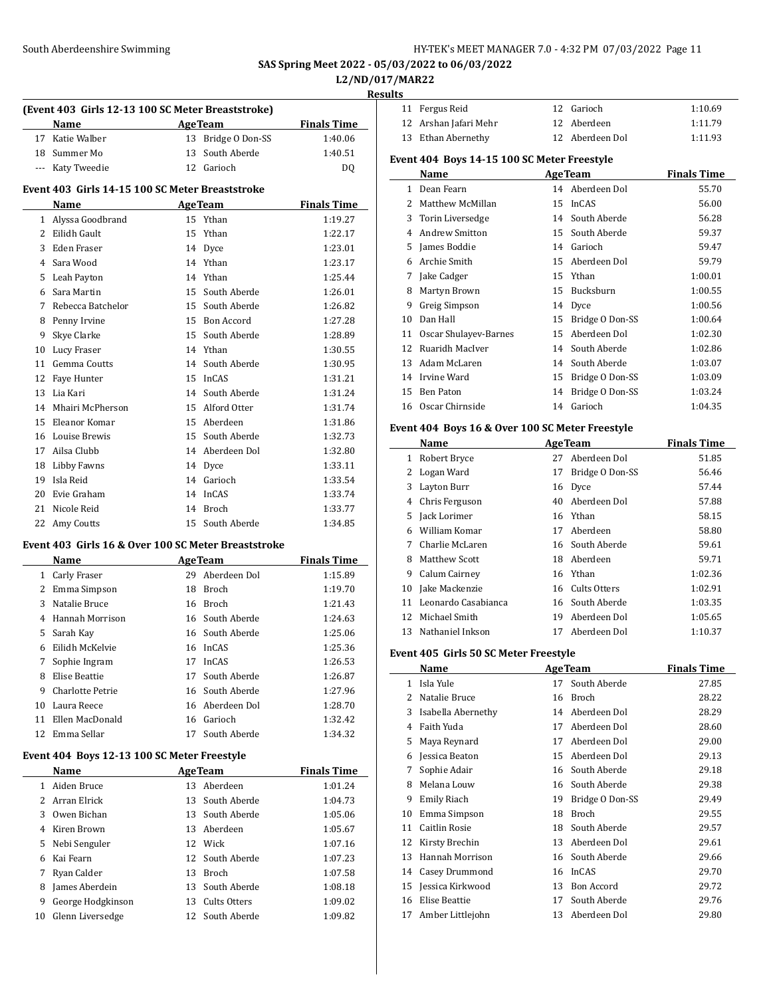**SAS Spring Meet 2022 - 05/03/2022 to 06/03/2022**

# **L2/ND/017/MAR22 <u>esults</u>**

|                       | (Event 403 Girls 12-13 100 SC Meter Breaststroke)           |    |                    |                    |
|-----------------------|-------------------------------------------------------------|----|--------------------|--------------------|
|                       | Name                                                        |    | <b>AgeTeam</b>     | <b>Finals Time</b> |
|                       | 17 Katie Walber                                             |    | 13 Bridge O Don-SS | 1:40.06            |
|                       | 18 Summer Mo                                                |    | 13 South Aberde    | 1:40.51            |
|                       | --- Katy Tweedie                                            |    | 12 Garioch         | DQ                 |
|                       | Event 403 Girls 14-15 100 SC Meter Breaststroke<br>Name     |    | <b>Age Team</b>    | <b>Finals Time</b> |
| $\mathbf{1}$          | Alyssa Goodbrand                                            |    | 15 Ythan           | 1:19.27            |
| $\mathbf{2}$          | Eilidh Gault                                                |    | 15 Ythan           | 1:22.17            |
| 3                     | Eden Fraser                                                 |    | 14 Dyce            | 1:23.01            |
| 4                     | Sara Wood                                                   |    | 14 Ythan           | 1:23.17            |
| 5                     | Leah Payton                                                 |    | 14 Ythan           | 1:25.44            |
| 6                     | Sara Martin                                                 |    | 15 South Aberde    | 1:26.01            |
| 7                     | Rebecca Batchelor                                           |    | 15 South Aberde    | 1:26.82            |
|                       |                                                             |    | 15 Bon Accord      |                    |
| 8<br>9                | Penny Irvine<br>Skye Clarke                                 |    | 15 South Aberde    | 1:27.28            |
| 10                    | Lucy Fraser                                                 |    | 14 Ythan           | 1:28.89<br>1:30.55 |
| 11                    | <b>Gemma Coutts</b>                                         |    | 14 South Aberde    | 1:30.95            |
| 12                    | Faye Hunter                                                 |    | 15 InCAS           | 1:31.21            |
| 13                    | Lia Kari                                                    |    | 14 South Aberde    | 1:31.24            |
| 14                    | Mhairi McPherson                                            | 15 | Alford Otter       | 1:31.74            |
| 15                    | Eleanor Komar                                               |    | 15 Aberdeen        | 1:31.86            |
| 16                    | Louise Brewis                                               |    | 15 South Aberde    |                    |
| 17                    |                                                             |    | 14 Aberdeen Dol    | 1:32.73            |
|                       | Ailsa Clubb                                                 |    |                    | 1:32.80            |
| 18                    | Libby Fawns                                                 |    | 14 Dyce            | 1:33.11            |
| 19                    | Isla Reid                                                   |    | 14 Garioch         | 1:33.54            |
| 20                    | Evie Graham                                                 |    | 14 InCAS           | 1:33.74            |
| 21                    | Nicole Reid                                                 |    | 14 Broch           | 1:33.77            |
|                       | 22 Amy Coutts                                               |    | 15 South Aberde    | 1:34.85            |
|                       | Event 403 Girls 16 & Over 100 SC Meter Breaststroke<br>Name |    | <b>Age Team</b>    | <b>Finals Time</b> |
|                       | 1 Carly Fraser                                              |    | 29 Aberdeen Dol    | 1:15.89            |
|                       | 2 Emma Simpson                                              |    | 18 Broch           | 1:19.70            |
| 3                     | Natalie Bruce                                               |    | 16 Broch           | 1:21.43            |
| 4                     | Hannah Morrison                                             |    | 16 South Aberde    | 1:24.63            |
| 5                     | Sarah Kay                                                   |    | 16 South Aberde    | 1:25.06            |
| 6                     | Eilidh McKelvie                                             |    | 16 InCAS           | 1:25.36            |
|                       | 7 Sophie Ingram                                             |    | 17 InCAS           | 1:26.53            |
| 8                     | Elise Beattie                                               | 17 | South Aberde       | 1:26.87            |
| 9                     | Charlotte Petrie                                            |    | 16 South Aberde    | 1:27.96            |
| 10                    | Laura Reece                                                 |    | 16 Aberdeen Dol    | 1:28.70            |
| 11                    | Ellen MacDonald                                             |    | 16 Garioch         | 1:32.42            |
| 12                    | Emma Sellar                                                 |    | 17 South Aberde    | 1:34.32            |
|                       | Event 404 Boys 12-13 100 SC Meter Freestyle                 |    |                    |                    |
|                       | Name                                                        |    | <b>AgeTeam</b>     | <b>Finals Time</b> |
| $\mathbf{1}$          | Aiden Bruce                                                 |    | 13 Aberdeen        | 1:01.24            |
| $\mathbf{2}^{\prime}$ | Arran Elrick                                                | 13 | South Aberde       | 1:04.73            |
|                       | 3 Owen Bichan                                               | 13 | South Aberde       | 1:05.06            |
| 4                     | Kiren Brown                                                 |    | 13 Aberdeen        | 1:05.67            |
|                       | Nebi Senguler                                               |    | 12 Wick            | 1:07.16            |
| 5                     |                                                             |    |                    |                    |
| 6                     | Kai Fearn                                                   |    | 12 South Aberde    | 1:07.23            |

 James Aberdein 13 South Aberde 1:08.18 George Hodgkinson 13 Cults Otters 1:09.02 Glenn Liversedge 12 South Aberde 1:09.82

| 11 Fergus Reid        | 12 Garioch      | 1:10.69 |
|-----------------------|-----------------|---------|
| 12 Arshan Jafari Mehr | 12 Aberdeen     | 1:11.79 |
| 13 Ethan Abernethy    | 12 Aberdeen Dol | 1:11.93 |

## **Event 404 Boys 14-15 100 SC Meter Freestyle**

|    | Name                  |    | <b>AgeTeam</b>  | <b>Finals Time</b> |
|----|-----------------------|----|-----------------|--------------------|
| 1  | Dean Fearn            |    | 14 Aberdeen Dol | 55.70              |
| 2  | Matthew McMillan      | 15 | <b>InCAS</b>    | 56.00              |
| 3  | Torin Liversedge      | 14 | South Aberde    | 56.28              |
| 4  | Andrew Smitton        | 15 | South Aberde    | 59.37              |
| 5  | James Boddie          | 14 | Garioch         | 59.47              |
| 6  | Archie Smith          | 15 | Aberdeen Dol    | 59.79              |
| 7  | Jake Cadger           | 15 | Ythan           | 1:00.01            |
| 8  | Martyn Brown          | 15 | Bucksburn       | 1:00.55            |
| 9  | Greig Simpson         | 14 | Dyce            | 1:00.56            |
| 10 | Dan Hall              | 15 | Bridge O Don-SS | 1:00.64            |
| 11 | Oscar Shulayev-Barnes | 15 | Aberdeen Dol    | 1:02.30            |
| 12 | Ruaridh MacIver       | 14 | South Aberde    | 1:02.86            |
| 13 | Adam McLaren          | 14 | South Aberde    | 1:03.07            |
| 14 | Irvine Ward           | 15 | Bridge O Don-SS | 1:03.09            |
| 15 | <b>Ben Paton</b>      | 14 | Bridge O Don-SS | 1:03.24            |
| 16 | Oscar Chirnside       | 14 | Garioch         | 1:04.35            |
|    |                       |    |                 |                    |

## **Event 404 Boys 16 & Over 100 SC Meter Freestyle**

|     | Name                |    | <b>AgeTeam</b>  | <b>Finals Time</b> |
|-----|---------------------|----|-----------------|--------------------|
| 1   | Robert Bryce        | 27 | Aberdeen Dol    | 51.85              |
|     | 2 Logan Ward        | 17 | Bridge 0 Don-SS | 56.46              |
| 3   | Layton Burr         | 16 | Dyce            | 57.44              |
| 4   | Chris Ferguson      |    | 40 Aberdeen Dol | 57.88              |
| 5.  | Jack Lorimer        |    | 16 Ythan        | 58.15              |
| 6   | William Komar       | 17 | Aberdeen        | 58.80              |
| 7   | Charlie McLaren     | 16 | South Aberde    | 59.61              |
| 8   | Matthew Scott       |    | 18 Aberdeen     | 59.71              |
| 9   | Calum Cairney       |    | 16 Ythan        | 1:02.36            |
| 10  | Jake Mackenzie      |    | 16 Cults Otters | 1:02.91            |
| 11  | Leonardo Casabianca | 16 | South Aberde    | 1:03.35            |
| 12. | Michael Smith       | 19 | Aberdeen Dol    | 1:05.65            |
| 13  | Nathaniel Inkson    | 17 | Aberdeen Dol    | 1:10.37            |

## **Event 405 Girls 50 SC Meter Freestyle**

|    | Name               |    | <b>AgeTeam</b>    | <b>Finals Time</b> |
|----|--------------------|----|-------------------|--------------------|
| 1  | Isla Yule          | 17 | South Aberde      | 27.85              |
| 2  | Natalie Bruce      | 16 | Broch             | 28.22              |
| 3  | Isabella Abernethy | 14 | Aberdeen Dol      | 28.29              |
| 4  | Faith Yuda         | 17 | Aberdeen Dol      | 28.60              |
| 5  | Maya Reynard       | 17 | Aberdeen Dol      | 29.00              |
| 6  | Jessica Beaton     | 15 | Aberdeen Dol      | 29.13              |
| 7  | Sophie Adair       | 16 | South Aberde      | 29.18              |
| 8  | Melana Louw        | 16 | South Aberde      | 29.38              |
| 9  | <b>Emily Riach</b> | 19 | Bridge O Don-SS   | 29.49              |
| 10 | Emma Simpson       | 18 | Broch             | 29.55              |
| 11 | Caitlin Rosie      | 18 | South Aberde      | 29.57              |
| 12 | Kirsty Brechin     | 13 | Aberdeen Dol      | 29.61              |
| 13 | Hannah Morrison    | 16 | South Aberde      | 29.66              |
| 14 | Casey Drummond     | 16 | <b>InCAS</b>      | 29.70              |
| 15 | Jessica Kirkwood   | 13 | <b>Bon Accord</b> | 29.72              |
| 16 | Elise Beattie      | 17 | South Aberde      | 29.76              |
| 17 | Amber Littlejohn   | 13 | Aberdeen Dol      | 29.80              |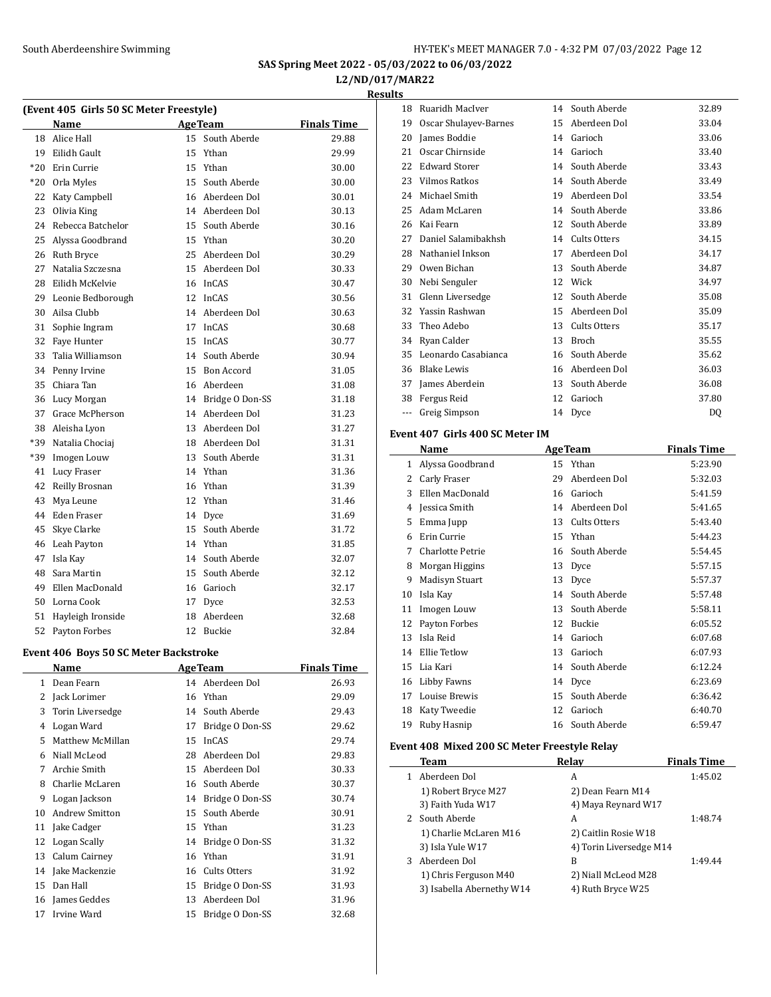**SAS Spring Meet 2022 - 05/03/2022 to 06/03/2022**

**L2/ND/017/MAR22 Results**

|       | (Event 405 Girls 50 SC Meter Freestyle) |    |                   |                    |  |  |  |
|-------|-----------------------------------------|----|-------------------|--------------------|--|--|--|
|       | Name                                    |    | <b>AgeTeam</b>    | <b>Finals Time</b> |  |  |  |
| 18    | Alice Hall                              | 15 | South Aberde      | 29.88              |  |  |  |
| 19    | Eilidh Gault                            | 15 | Ythan             | 29.99              |  |  |  |
| $*20$ | Erin Currie                             | 15 | Ythan             | 30.00              |  |  |  |
| $*20$ | Orla Myles                              | 15 | South Aberde      | 30.00              |  |  |  |
| 22    | Katy Campbell                           | 16 | Aberdeen Dol      | 30.01              |  |  |  |
| 23    | Olivia King                             | 14 | Aberdeen Dol      | 30.13              |  |  |  |
| 24    | Rebecca Batchelor                       | 15 | South Aberde      | 30.16              |  |  |  |
| 25    | Alyssa Goodbrand                        | 15 | Ythan             | 30.20              |  |  |  |
| 26    | Ruth Bryce                              | 25 | Aberdeen Dol      | 30.29              |  |  |  |
| 27    | Natalia Szczesna                        | 15 | Aberdeen Dol      | 30.33              |  |  |  |
| 28    | Eilidh McKelvie                         | 16 | <b>InCAS</b>      | 30.47              |  |  |  |
| 29    | Leonie Bedborough                       | 12 | <b>InCAS</b>      | 30.56              |  |  |  |
| 30    | Ailsa Clubb                             | 14 | Aberdeen Dol      | 30.63              |  |  |  |
| 31    | Sophie Ingram                           | 17 | <b>InCAS</b>      | 30.68              |  |  |  |
| 32    | Faye Hunter                             | 15 | <b>InCAS</b>      | 30.77              |  |  |  |
| 33    | Talia Williamson                        | 14 | South Aberde      | 30.94              |  |  |  |
| 34    | Penny Irvine                            | 15 | <b>Bon Accord</b> | 31.05              |  |  |  |
| 35    | Chiara Tan                              | 16 | Aberdeen          | 31.08              |  |  |  |
| 36    | Lucy Morgan                             | 14 | Bridge O Don-SS   | 31.18              |  |  |  |
| 37    | Grace McPherson                         | 14 | Aberdeen Dol      | 31.23              |  |  |  |
| 38    | Aleisha Lyon                            | 13 | Aberdeen Dol      | 31.27              |  |  |  |
| *39   | Natalia Chociaj                         | 18 | Aberdeen Dol      | 31.31              |  |  |  |
| *39   | Imogen Louw                             | 13 | South Aberde      | 31.31              |  |  |  |
| 41    | Lucy Fraser                             | 14 | Ythan             | 31.36              |  |  |  |
| 42    | Reilly Brosnan                          | 16 | Ythan             | 31.39              |  |  |  |
| 43    | Mya Leune                               | 12 | Ythan             | 31.46              |  |  |  |
| 44    | Eden Fraser                             | 14 | Dyce              | 31.69              |  |  |  |
| 45    | Skye Clarke                             | 15 | South Aberde      | 31.72              |  |  |  |
| 46    | Leah Payton                             | 14 | Ythan             | 31.85              |  |  |  |
| 47    | Isla Kay                                | 14 | South Aberde      | 32.07              |  |  |  |
| 48    | Sara Martin                             | 15 | South Aberde      | 32.12              |  |  |  |
| 49    | Ellen MacDonald                         | 16 | Garioch           | 32.17              |  |  |  |
| 50    | Lorna Cook                              | 17 | Dyce              | 32.53              |  |  |  |
| 51    | Hayleigh Ironside                       | 18 | Aberdeen          | 32.68              |  |  |  |
| 52    | Payton Forbes                           | 12 | Buckie            | 32.84              |  |  |  |

# **Event 406 Boys 50 SC Meter Backstroke**

 $\overline{a}$ 

|    | Name                  |    | <b>Age Team</b> | <b>Finals Time</b> |
|----|-----------------------|----|-----------------|--------------------|
| 1  | Dean Fearn            |    | 14 Aberdeen Dol | 26.93              |
| 2  | Jack Lorimer          | 16 | Ythan           | 29.09              |
| 3  | Torin Liversedge      | 14 | South Aberde    | 29.43              |
| 4  | Logan Ward            | 17 | Bridge O Don-SS | 29.62              |
| 5  | Matthew McMillan      | 15 | <b>InCAS</b>    | 29.74              |
| 6  | Niall McLeod          | 28 | Aberdeen Dol    | 29.83              |
| 7  | Archie Smith          | 15 | Aberdeen Dol    | 30.33              |
| 8  | Charlie McLaren       | 16 | South Aberde    | 30.37              |
| 9  | Logan Jackson         | 14 | Bridge O Don-SS | 30.74              |
| 10 | <b>Andrew Smitton</b> | 15 | South Aberde    | 30.91              |
| 11 | Jake Cadger           | 15 | Ythan           | 31.23              |
| 12 | Logan Scally          | 14 | Bridge O Don-SS | 31.32              |
| 13 | Calum Cairney         | 16 | Ythan           | 31.91              |
| 14 | Jake Mackenzie        | 16 | Cults Otters    | 31.92              |
| 15 | Dan Hall              | 15 | Bridge O Don-SS | 31.93              |
| 16 | James Geddes          | 13 | Aberdeen Dol    | 31.96              |
| 17 | Irvine Ward           | 15 | Bridge O Don-SS | 32.68              |
|    |                       |    |                 |                    |

| 18  | Ruaridh MacIver       | 14 | South Aberde        | 32.89 |
|-----|-----------------------|----|---------------------|-------|
| 19  | Oscar Shulayev-Barnes | 15 | Aberdeen Dol        | 33.04 |
| 20  | James Boddie          | 14 | Garioch             | 33.06 |
| 21  | Oscar Chirnside       | 14 | Garioch             | 33.40 |
| 22  | <b>Edward Storer</b>  | 14 | South Aberde        | 33.43 |
| 23  | Vilmos Ratkos         | 14 | South Aberde        | 33.49 |
| 24  | Michael Smith         | 19 | Aberdeen Dol        | 33.54 |
| 25  | Adam McLaren          | 14 | South Aberde        | 33.86 |
| 26  | Kai Fearn             | 12 | South Aberde        | 33.89 |
| 27  | Daniel Salamibakhsh   | 14 | <b>Cults Otters</b> | 34.15 |
| 28  | Nathaniel Inkson      | 17 | Aberdeen Dol        | 34.17 |
| 29  | Owen Bichan           | 13 | South Aberde        | 34.87 |
| 30  | Nebi Senguler         | 12 | Wick                | 34.97 |
| 31  | Glenn Liversedge      | 12 | South Aberde        | 35.08 |
| 32  | Yassin Rashwan        | 15 | Aberdeen Dol        | 35.09 |
| 33  | Theo Adebo            | 13 | Cults Otters        | 35.17 |
| 34  | Ryan Calder           | 13 | Broch               | 35.55 |
| 35  | Leonardo Casabianca   | 16 | South Aberde        | 35.62 |
| 36  | <b>Blake Lewis</b>    | 16 | Aberdeen Dol        | 36.03 |
| 37  | James Aberdein        | 13 | South Aberde        | 36.08 |
| 38  | Fergus Reid           | 12 | Garioch             | 37.80 |
| --- | Greig Simpson         | 14 | Dyce                | DQ    |

## **Event 407 Girls 400 SC Meter IM**

|    | Name             |    | <b>AgeTeam</b> | <b>Finals Time</b> |
|----|------------------|----|----------------|--------------------|
| 1  | Alyssa Goodbrand | 15 | Ythan          | 5:23.90            |
| 2  | Carly Fraser     | 29 | Aberdeen Dol   | 5:32.03            |
| 3  | Ellen MacDonald  | 16 | Garioch        | 5:41.59            |
| 4  | Jessica Smith    | 14 | Aberdeen Dol   | 5:41.65            |
| 5  | Emma Jupp        | 13 | Cults Otters   | 5:43.40            |
| 6  | Erin Currie      | 15 | Ythan          | 5:44.23            |
| 7  | Charlotte Petrie | 16 | South Aberde   | 5:54.45            |
| 8  | Morgan Higgins   | 13 | Dyce           | 5:57.15            |
| 9  | Madisyn Stuart   | 13 | Dyce           | 5:57.37            |
| 10 | Isla Kay         | 14 | South Aberde   | 5:57.48            |
| 11 | Imogen Louw      | 13 | South Aberde   | 5:58.11            |
| 12 | Payton Forbes    | 12 | Buckie         | 6:05.52            |
| 13 | Isla Reid        | 14 | Garioch        | 6:07.68            |
| 14 | Ellie Tetlow     | 13 | Garioch        | 6:07.93            |
| 15 | Lia Kari         | 14 | South Aberde   | 6:12.24            |
| 16 | Libby Fawns      | 14 | Dyce           | 6:23.69            |
| 17 | Louise Brewis    | 15 | South Aberde   | 6:36.42            |
| 18 | Katy Tweedie     | 12 | Garioch        | 6:40.70            |
| 19 | Ruby Hasnip      | 16 | South Aberde   | 6:59.47            |
|    |                  |    |                |                    |

# **Event 408 Mixed 200 SC Meter Freestyle Relay**

| Team                      | Relav                   | <b>Finals Time</b> |
|---------------------------|-------------------------|--------------------|
| Aberdeen Dol              | A                       | 1:45.02            |
| 1) Robert Bryce M27       | 2) Dean Fearn M14       |                    |
| 3) Faith Yuda W17         | 4) Maya Reynard W17     |                    |
| 2 South Aberde            | A                       | 1:48.74            |
| 1) Charlie McLaren M16    | 2) Caitlin Rosie W18    |                    |
| 3) Isla Yule W17          | 4) Torin Liversedge M14 |                    |
| 3 Aberdeen Dol            | В                       | 1:49.44            |
| 1) Chris Ferguson M40     | 2) Niall McLeod M28     |                    |
| 3) Isabella Abernethy W14 | 4) Ruth Bryce W25       |                    |
|                           |                         |                    |